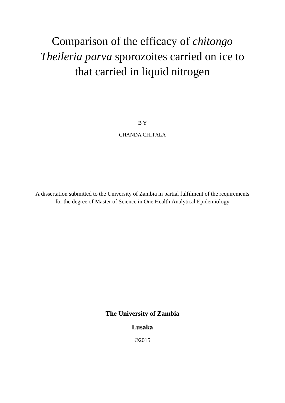# Comparison of the efficacy of *chitongo Theileria parva* sporozoites carried on ice to that carried in liquid nitrogen

B Y CHANDA CHITALA

A dissertation submitted to the University of Zambia in partial fulfilment of the requirements for the degree of Master of Science in One Health Analytical Epidemiology

**The University of Zambia**

# **Lusaka**

©2015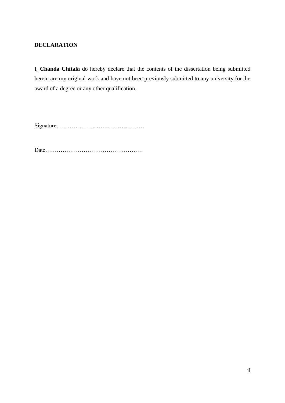# **DECLARATION**

I, **Chanda Chitala** do hereby declare that the contents of the dissertation being submitted herein are my original work and have not been previously submitted to any university for the award of a degree or any other qualification.

Signature……………………………………….

Date……………………………………………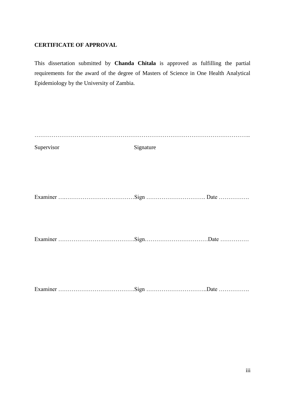# **CERTIFICATE OF APPROVAL**

This dissertation submitted by **Chanda Chitala** is approved as fulfilling the partial requirements for the award of the degree of Masters of Science in One Health Analytical Epidemiology by the University of Zambia.

| Supervisor | Signature |  |
|------------|-----------|--|
|            |           |  |
|            |           |  |
|            |           |  |
|            |           |  |
|            |           |  |
|            |           |  |
|            |           |  |
|            |           |  |
|            |           |  |
|            |           |  |
|            |           |  |
|            |           |  |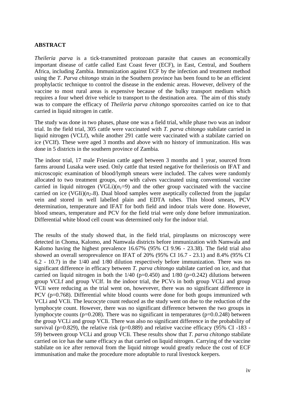## **ABSTRACT**

*Theileria parva* is a tick-transmitted protozoan parasite that causes an economically important disease of cattle called East Coast fever (ECF), in East, Central, and Southern Africa, including Zambia. Immunization against ECF by the infection and treatment method using the *T. Parva chitongo* strain in the Southern province has been found to be an efficient prophylactic technique to control the disease in the endemic areas. However, delivery of the vaccine to most rural areas is expensive because of the bulky transport medium which requires a four wheel drive vehicle to transport to the destination area. The aim of this study was to compare the efficacy of *Theileria parva chitongo* sporozoites carried on ice to that carried in liquid nitrogen in cattle.

The study was done in two phases, phase one was a field trial, while phase two was an indoor trial. In the field trial, 305 cattle were vaccinated with *T. parva chitongo* stabilate carried in liquid nitrogen (VCLf), while another 291 cattle were vaccinated with a stabilate carried on ice (VCIf). These were aged 3 months and above with no history of immunization. His was done in 5 districts in the southern province of Zambia.

The indoor trial, 17 male Friesian cattle aged between 3 months and 1 year, sourced from farms around Lusaka were used. Only cattle that tested negative for theileriosis on IFAT and microscopic examination of blood/lymph smears were included. The calves were randomly allocated to two treatment groups, one with calves vaccinated using conventional vaccine carried in liquid nitrogen (VGLi) $(n_1=9)$  and the other group vaccinated with the vaccine carried on ice (VGIi) $(n_{2}=8)$ . Dual blood samples were aseptically collected from the jugular vein and stored in well labelled plain and EDTA tubes. Thin blood smears, PCV determination, temperature and IFAT for both field and indoor trials were done. However, blood smears, temperature and PCV for the field trial were only done before immunization. Differential white blood cell count was determined only for the indoor trial.

The results of the study showed that, in the field trial, piroplasms on microscopy were detected in Choma, Kalomo, and Namwala districts before immunization with Namwala and Kalomo having the highest prevalence 16.67% (95% CI 9.96 - 23.38). The field trial also showed an overall seroprevalence on IFAT of 20% (95% CI 16.7 - 23.1) and 8.4% (95% CI 6.2 - 10.7) in the 1/40 and 1/80 dilution respectively before immunization. There was no significant difference in efficacy between *T. parva chitongo* stabilate carried on ice, and that carried on liquid nitrogen in both the  $1/40$  ( $p=0.450$ ) and  $1/80$  ( $p=0.242$ ) dilutions between group VCLf and group VCIf. In the indoor trial, the PCVs in both group VCLi and group VCIi were reducing as the trial went on, howevever, there was no significant difference in PCV (p=0.768). Differential white blood counts were done for both goups immunized wth VCLi and VCIi. The leucocyte count reduced as the study went on due to the reduction of the lymphocyte count. However, there was no significant difference between the two groups in lymphocyte counts ( $p=0.208$ ). There was no significant in temperatures ( $p=0.0.248$ ) between the group VCLi and group VCIi. There was also no significant difference in the probability of survival ( $p=0.829$ ), the relative risk ( $p=0.889$ ) and relative vaccine efficacy (95% CI-183 -59) between group VCLi and group VCIi. These results show that *T. parva chitongo* stabilate carried on ice has the same efficacy as that carried on liquid nitrogen. Carrying of the vaccine stabilate on ice after removal from the liquid nitroge would greatly reduce the cost of ECF immunisation and make the procedure more adoptable to rural livestock keepers.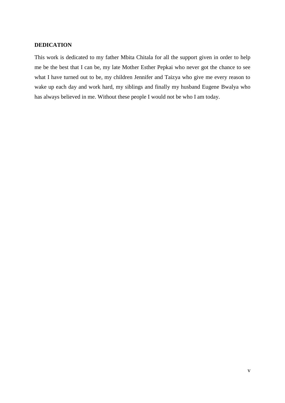# **DEDICATION**

This work is dedicated to my father Mbita Chitala for all the support given in order to help me be the best that I can be, my late Mother Esther Pepkai who never got the chance to see what I have turned out to be, my children Jennifer and Taizya who give me every reason to wake up each day and work hard, my siblings and finally my husband Eugene Bwalya who has always believed in me. Without these people I would not be who I am today.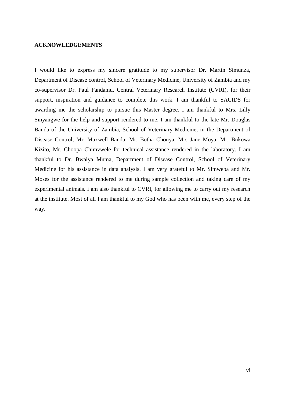#### **ACKNOWLEDGEMENTS**

I would like to express my sincere gratitude to my supervisor Dr. Martin Simunza, Department of Disease control, School of Veterinary Medicine, University of Zambia and my co-supervisor Dr. Paul Fandamu, Central Veterinary Research Institute (CVRI), for their support, inspiration and guidance to complete this work. I am thankful to SACIDS for awarding me the scholarship to pursue this Master degree. I am thankful to Mrs. Lilly Sinyangwe for the help and support rendered to me. I am thankful to the late Mr. Douglas Banda of the University of Zambia, School of Veterinary Medicine, in the Department of Disease Control, Mr. Maxwell Banda, Mr. Botha Chonya, Mrs Jane Moya, Mr. Bukowa Kizito, Mr. Choopa Chimvwele for technical assistance rendered in the laboratory. I am thankful to Dr. Bwalya Muma, Department of Disease Control, School of Veterinary Medicine for his assistance in data analysis. I am very grateful to Mr. Simweba and Mr. Moses for the assistance rendered to me during sample collection and taking care of my experimental animals. I am also thankful to CVRI, for allowing me to carry out my research at the institute. Most of all I am thankful to my God who has been with me, every step of the way.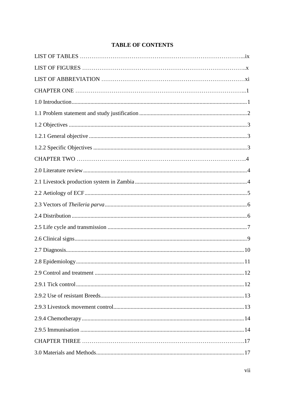|  | <b>TABLE OF CONTENTS</b> |
|--|--------------------------|
|--|--------------------------|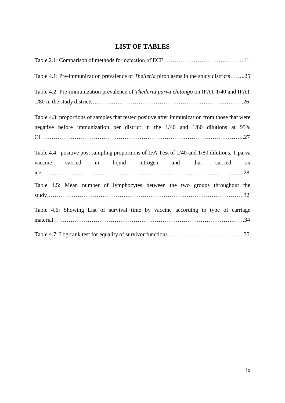# **LIST OF TABLES**

<span id="page-8-0"></span>

| Table 4.1: Pre-immunization prevalence of <i>Theileria</i> piroplasms in the study districts25  |
|-------------------------------------------------------------------------------------------------|
| Table 4.2: Pre-immunization prevalence of <i>Theileria parva chitongo</i> on IFAT 1/40 and IFAT |
|                                                                                                 |
| Table 4.3: proportions of samples that tested positive after immunization from those that were  |
| negative before immunization per district in the 1/40 and 1/80 dilutions at 95%                 |
|                                                                                                 |
| Table 4.4: positive post sampling proportions of IFA Test of 1/40 and 1/80 dilutions, T. parva  |
| carried in liquid nitrogen and that<br>vaccine<br>carried<br>on                                 |
|                                                                                                 |
| Table 4.5: Mean number of lymphocytes between the two groups throughout the                     |
|                                                                                                 |
| Table 4.6: Showing List of survival time by vaccine according to type of carriage               |
|                                                                                                 |
|                                                                                                 |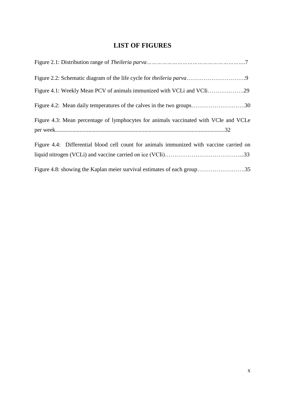# **LIST OF FIGURES**

<span id="page-9-0"></span>

| Figure 4.1: Weekly Mean PCV of animals immunized with VCLi and VCIi29                   |
|-----------------------------------------------------------------------------------------|
| Figure 4.2: Mean daily temperatures of the calves in the two groups30                   |
| Figure 4.3: Mean percentage of lymphocytes for animals vaccinated with VCIe and VCLe    |
| Figure 4.4: Differential blood cell count for animals immunized with vaccine carried on |
|                                                                                         |
| Figure 4.8: showing the Kaplan meier survival estimates of each group35                 |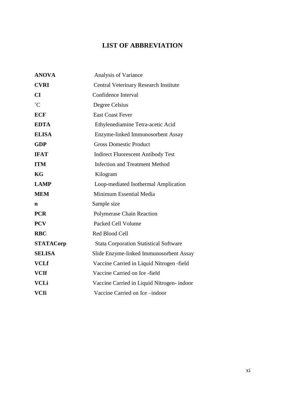# **LIST OF ABBREVIATION**

<span id="page-10-0"></span>

| <b>ANOVA</b>     | Analysis of Variance                          |
|------------------|-----------------------------------------------|
| <b>CVRI</b>      | <b>Central Veterinary Research Institute</b>  |
| CI               | Confidence Interval                           |
| $\rm ^{\circ}C$  | Degree Celsius                                |
| <b>ECF</b>       | <b>East Coast Fever</b>                       |
| <b>EDTA</b>      | Ethylenediamine Tetra-acetic Acid             |
| <b>ELISA</b>     | Enzyme-linked Immunosorbent Assay             |
| <b>GDP</b>       | <b>Gross Domestic Product</b>                 |
| <b>IFAT</b>      | <b>Indirect Fluorescent Antibody Test</b>     |
| <b>ITM</b>       | <b>Infection and Treatment Method</b>         |
| KG               | Kilogram                                      |
| <b>LAMP</b>      | Loop-mediated Isothermal Amplication          |
| <b>MEM</b>       | Minimum Essential Media                       |
| n                | Sample size                                   |
| <b>PCR</b>       | <b>Polymerase Chain Reaction</b>              |
| <b>PCV</b>       | Packed Cell Volume                            |
| <b>RBC</b>       | Red Blood Cell                                |
| <b>STATACorp</b> | <b>Stata Corporation Statistical Software</b> |
| <b>SELISA</b>    | Slide Enzyme-linked Immunosorbent Assay       |
| <b>VCLf</b>      | Vaccine Carried in Liquid Nitrogen -field     |
| <b>VCIf</b>      | Vaccine Carried on Ice -field                 |
| <b>VCLi</b>      | Vaccine Carried in Liquid Nitrogen-indoor     |
| <b>VCIi</b>      | Vaccine Carried on Ice-indoor                 |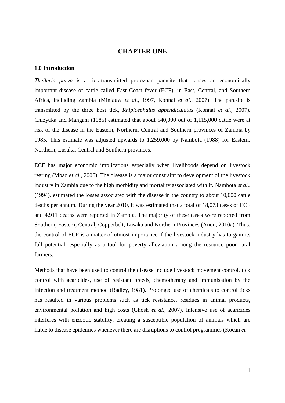#### **CHAPTER ONE**

#### <span id="page-11-1"></span><span id="page-11-0"></span>**1.0 Introduction**

*Theileria parva* is a tick-transmitted protozoan parasite that causes an economically important disease of cattle called East Coast fever (ECF), in East, Central, and Southern Africa, including Zambia (Minjauw *et al*., 1997, Konnai *et al*., 2007). The parasite is transmitted by the three host tick, *Rhipicephalus appendiculatus* (Konnai *et al.,* 2007)*.* Chizyuka and Mangani (1985) estimated that about 540,000 out of 1,115,000 cattle were at risk of the disease in the Eastern, Northern, Central and Southern provinces of Zambia by 1985. This estimate was adjusted upwards to 1,259,000 by Nambota (1988) for Eastern, Northern, Lusaka, Central and Southern provinces.

ECF has major economic implications especially when livelihoods depend on livestock rearing (Mbao *et al.,* 2006). The disease is a major constraint to development of the livestock industry in Zambia due to the high morbidity and mortality associated with it. Nambota *et al*., (1994), estimated the losses associated with the disease in the country to about 10,000 cattle deaths per annum. During the year 2010, it was estimated that a total of 18,073 cases of ECF and 4,911 deaths were reported in Zambia. The majority of these cases were reported from Southern, Eastern, Central, Copperbelt, Lusaka and Northern Provinces (Anon, 2010a). Thus, the control of ECF is a matter of utmost importance if the livestock industry has to gain its full potential, especially as a tool for poverty alleviation among the resource poor rural farmers.

Methods that have been used to control the disease include livestock movement control, tick control with acaricides, use of resistant breeds, chemotherapy and immunisation by the infection and treatment method (Radley, 1981). Prolonged use of chemicals to control ticks has resulted in various problems such as tick resistance, residues in animal products, environmental pollution and high costs (Ghosh *et al.,* 2007). Intensive use of acaricides interferes with enzootic stability, creating a susceptible population of animals which are liable to disease epidemics whenever there are disruptions to control programmes (Kocan *et*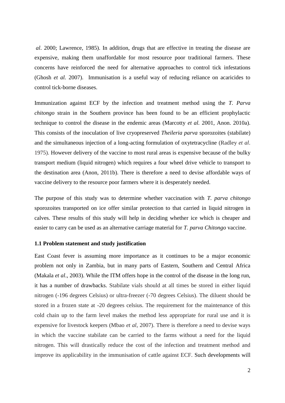*al*. 2000; Lawrence, 1985). In addition, drugs that are effective in treating the disease are expensive, making them unaffordable for most resource poor traditional farmers. These concerns have reinforced the need for alternative approaches to control tick infestations (Ghosh *et al.* 2007). Immunisation is a useful way of reducing reliance on acaricides to control tick-borne diseases.

Immunization against ECF by the infection and treatment method using the *T. Parva chitongo* strain in the Southern province has been found to be an efficient prophylactic technique to control the disease in the endemic areas (Marcotty *et al.* 2001, Anon. 2010a). This consists of the inoculation of live cryopreserved *Theileria parva* sporozoites (stabilate) and the simultaneous injection of a long-acting formulation of oxytetracycline (Radley *et al*. 1975). However delivery of the vaccine to most rural areas is expensive because of the bulky transport medium (liquid nitrogen) which requires a four wheel drive vehicle to transport to the destination area (Anon, 2011b). There is therefore a need to devise affordable ways of vaccine delivery to the resource poor farmers where it is desperately needed.

The purpose of this study was to determine whether vaccination with *T. parva chitongo*  sporozoites transported on ice offer similar protection to that carried in liquid nitrogen in calves. These results of this study will help in deciding whether ice which is cheaper and easier to carry can be used as an alternative carriage material for *T. parva Chitongo* vaccine.

#### <span id="page-12-0"></span>**1.1 Problem statement and study justification**

East Coast fever is assuming more importance as it continues to be a major economic problem not only in Zambia, but in many parts of Eastern, Southern and Central Africa (Makala *et al*., 2003). While the ITM offers hope in the control of the disease in the long run, it has a number of drawbacks. Stabilate vials should at all times be stored in either liquid nitrogen (-196 degrees Celsius) or ultra-freezer (-70 degrees Celsius). The diluent should be stored in a frozen state at -20 degrees celsius. The requirement for the maintenance of this cold chain up to the farm level makes the method less appropriate for rural use and it is expensive for livestock keepers (Mbao *et al*, 2007). There is therefore a need to devise ways in which the vaccine stabilate can be carried to the farms without a need for the liquid nitrogen. This will drastically reduce the cost of the infection and treatment method and improve its applicability in the immunisation of cattle against ECF. Such developments will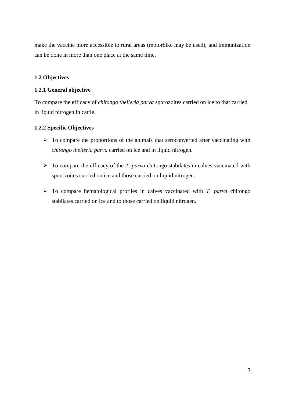make the vaccine more accessible to rural areas (motorbike may be used), and immunization can be done in more than one place at the same time.

# <span id="page-13-0"></span>**1.2 Objectives**

# <span id="page-13-1"></span>**1.2.1 General objective**

To compare the efficacy of *chitongo theileria parva* sporozoites carried on ice to that carried in liquid nitrogen in cattle.

# <span id="page-13-2"></span>**1.2.2 Specific Objectives**

- $\triangleright$  To compare the proportions of the animals that seroconverted after vaccinating with *chitongo theileria parva* carried on ice and in liquid nitrogen.
- $\triangleright$  To compare the efficacy of the *T. parva* chitongo stabilates in calves vaccinated with sporozoites carried on ice and those carried on liquid nitrogen.
- $\triangleright$  To compare hematological profiles in calves vaccinated with *T. parva* chitongo stabilates carried on ice and to those carried on liquid nitrogen.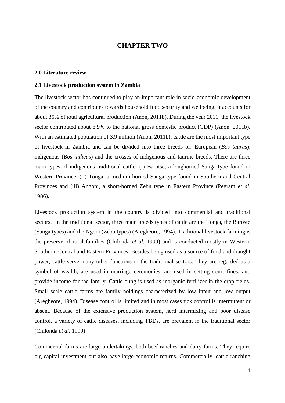# **CHAPTER TWO**

#### <span id="page-14-1"></span><span id="page-14-0"></span>**2.0 Literature review**

#### <span id="page-14-2"></span>**2.1 Livestock production system in Zambia**

The livestock sector has continued to play an important role in socio-economic development of the country and contributes towards household food security and wellbeing. It accounts for about 35% of total agricultural production (Anon, 2011b). During the year 2011, the livestock sector contributed about 8.9% to the national gross domestic product (GDP) (Anon, 2011b). With an estimated population of 3.9 million (Anon, 2011b), cattle are the most important type of livestock in Zambia and can be divided into three breeds or: European (*Bos taurus*), indigenous (*Bos indicus*) and the crosses of indigenous and taurine breeds. There are three main types of indigenous traditional cattle: (i) Barotse, a longhorned Sanga type found in Western Province, (ii) Tonga, a medium-horned Sanga type found in Southern and Central Provinces and (iii) Angoni, a short-horned Zebu type in Eastern Province (Pegram *et al.*  1986).

Livestock production system in the country is divided into commercial and traditional sectors. In the traditional sector, three main breeds types of cattle are the Tonga, the Baroste (Sanga types) and the Ngoni (Zebu types) (Aregheore, 1994). Traditional livestock farming is the preserve of rural families (Chilonda *et al.* 1999) and is conducted mostly in Western, Southern, Central and Eastern Provinces. Besides being used as a source of food and draught power, cattle serve many other functions in the traditional sectors. They are regarded as a symbol of wealth, are used in marriage ceremonies, are used in setting court fines, and provide income for the family. Cattle dung is used as inorganic fertilizer in the crop fields. Small scale cattle farms are family holdings characterized by low input and low output (Aregheore, 1994). Disease control is limited and in most cases tick control is intermittent or absent. Because of the extensive production system, herd intermixing and poor disease control, a variety of cattle diseases, including TBDs, are prevalent in the traditional sector (Chilonda *et al.* 1999)

Commercial farms are large undertakings, both beef ranches and dairy farms. They require big capital investment but also have large economic returns. Commercially, cattle ranching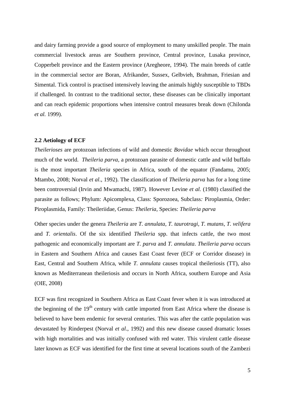and dairy farming provide a good source of employment to many unskilled people. The main commercial livestock areas are Southern province, Central province, Lusaka province, Copperbelt province and the Eastern province (Aregheore, 1994). The main breeds of cattle in the commercial sector are Boran, Afrikander, Sussex, Gelbvieh, Brahman, Friesian and Simental. Tick control is practised intensively leaving the animals highly susceptible to TBDs if challenged. In contrast to the traditional sector, these diseases can be clinically important and can reach epidemic proportions when intensive control measures break down (Chilonda *et al.* 1999).

#### <span id="page-15-0"></span>**2.2 Aetiology of ECF**

*Theilerioses* are protozoan infections of wild and domestic *Bovidae* which occur throughout much of the world. *Theileria parva,* a protozoan parasite of domestic cattle and wild buffalo is the most important *Theileria* species in Africa, south of the equator (Fandamu, 2005; Mtambo*,* 2008; Norval *et al*., 1992). The classification of *Theileria parva* has for a long time been controversial (Irvin and Mwamachi, 1987). However Levine *et al.* (1980) classified the parasite as follows; Phylum: Apicomplexa, Class: Sporozoea, Subclass*:* Piroplasmia, Order: Piroplasmida, Family: Theileriidae, Genus: *Theileria*, Species: *Theileria parva*

Other species under the genera *Theileria* are *T. annulata, T. taurotragi, T. mutans, T. velifera*  and *T. orientalis*. Of the six identified *Theileria* spp. that infects cattle, the two most pathogenic and economically important are *T. parva* and *T. annulata*. *Theileria parva* occurs in Eastern and Southern Africa and causes East Coast fever (ECF or Corridor disease) in East, Central and Southern Africa, while *T. annulata* causes tropical theileriosis (TT), also known as Mediterranean theileriosis and occurs in North Africa, southern Europe and Asia (OIE, 2008)

ECF was first recognized in Southern Africa as East Coast fever when it is was introduced at the beginning of the  $19<sup>th</sup>$  century with cattle imported from East Africa where the disease is believed to have been endemic for several centuries. This was after the cattle population was devastated by Rinderpest (Norval *et al*., 1992) and this new disease caused dramatic losses with high mortalities and was initially confused with red water. This virulent cattle disease later known as ECF was identified for the first time at several locations south of the Zambezi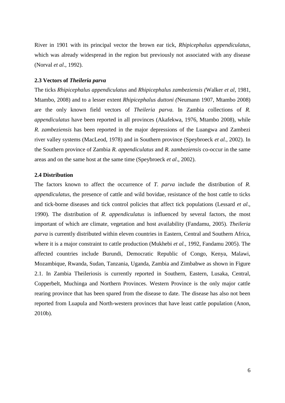River in 1901 with its principal vector the brown ear tick, *Rhipicephalus appendiculatus*, which was already widespread in the region but previously not associated with any disease (Norval *et al*., 1992).

#### <span id="page-16-0"></span>**2.3 Vectors of** *Theileria parva*

The ticks *Rhipicephalus appendiculatus* and *Rhipicephalus zambeziensis (*Walker *et al*, 1981, Mtambo, 2008) and to a lesser extent *Rhipicephalus duttoni (*Neumann 1907, Mtambo 2008) are the only known field vectors of *Theileria parva.* In Zambia collections of *R. appendiculatus* have been reported in all provinces (Akafekwa, 1976, Mtambo 2008), while *R. zambeziensis* has been reported in the major depressions of the Luangwa and Zambezi river valley systems (MacLeod, 1978) and in Southern province (Speybroeck *et al.*, 2002). In the Southern province of Zambia *R. appendiculatus* and *R. zambeziensis* co-occur in the same areas and on the same host at the same time (Speybroeck *et al*., 2002).

#### <span id="page-16-1"></span>**2.4 Distribution**

The factors known to affect the occurrence of *T. parva* include the distribution of *R. appendiculatus*, the presence of cattle and wild bovidae, resistance of the host cattle to ticks and tick-borne diseases and tick control policies that affect tick populations (Lessard *et al*., 1990). The distribution of *R. appendiculatus* is influenced by several factors, the most important of which are climate, vegetation and host availability (Fandamu, 2005). *Theileria parva* is currently distributed within eleven countries in Eastern, Central and Southern Africa, where it is a major constraint to cattle production (Mukhebi *et al.,* 1992, Fandamu 2005). The affected countries include Burundi, Democratic Republic of Congo, Kenya, Malawi, Mozambique, Rwanda, Sudan, Tanzania, Uganda, Zambia and Zimbabwe as shown in Figure 2.1. In Zambia Theileriosis is currently reported in Southern, Eastern, Lusaka, Central, Copperbelt, Muchinga and Northern Provinces. Western Province is the only major cattle rearing province that has been spared from the disease to date. The disease has also not been reported from Luapula and North-western provinces that have least cattle population (Anon, 2010b).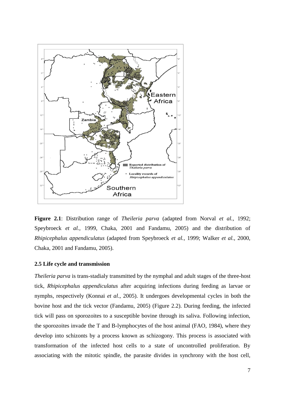

**Figure 2.1**: Distribution range of *Theileria parva* (adapted from Norval *et al.,* 1992; Speybroeck *et al.,* 1999, Chaka, 2001 and Fandamu, 2005) and the distribution of *Rhipicephalus appendiculatus* (adapted from Speybroeck *et al.,* 1999; Walker *et al.,* 2000, Chaka, 2001 and Fandamu, 2005).

#### <span id="page-17-0"></span>**2.5 Life cycle and transmission**

*Theileria parva* is trans-stadialy transmitted by the nymphal and adult stages of the three-host tick, *Rhipicephalus appendiculatus* after acquiring infections during feeding as larvae or nymphs, respectively (Konnai *et al*., 2005). It undergoes developmental cycles in both the bovine host and the tick vector (Fandamu, 2005) (Figure 2.2). During feeding, the infected tick will pass on sporozoites to a susceptible bovine through its saliva. Following infection, the sporozoites invade the T and B-lymphocytes of the host animal (FAO, 1984), where they develop into schizonts by a process known as schizogony. This process is associated with transformation of the infected host cells to a state of uncontrolled proliferation. By associating with the mitotic spindle, the parasite divides in synchrony with the host cell,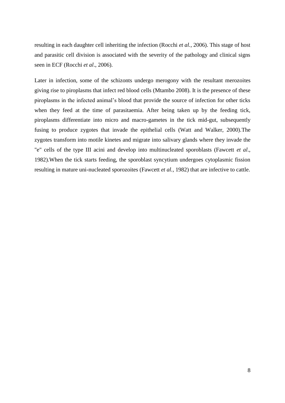resulting in each daughter cell inheriting the infection (Rocchi *et al.,* 2006). This stage of host and parasitic cell division is associated with the severity of the pathology and clinical signs seen in ECF (Rocchi *et al*., 2006).

Later in infection, some of the schizonts undergo merogony with the resultant merozoites giving rise to piroplasms that infect red blood cells (Mtambo 2008). It is the presence of these piroplasms in the infected animal's blood that provide the source of infection for other ticks when they feed at the time of parasitaemia. After being taken up by the feeding tick, piroplasms differentiate into micro and macro-gametes in the tick mid-gut, subsequently fusing to produce zygotes that invade the epithelial cells (Watt and Walker, 2000).The zygotes transform into motile kinetes and migrate into salivary glands where they invade the "e" cells of the type III acini and develop into multinucleated sporoblasts (Fawcett *et al*., 1982).When the tick starts feeding, the sporoblast syncytium undergoes cytoplasmic fission resulting in mature uni-nucleated sporozoites (Fawcett *et al.,* 1982) that are infective to cattle.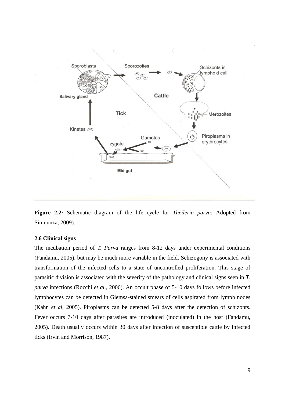

**Figure 2.2***:* Schematic diagram of the life cycle for *Theileria parva*: Adopted from Simuunza, 2009).

#### <span id="page-19-0"></span>**2.6 Clinical signs**

The incubation period of *T. Parva* ranges from 8-12 days under experimental conditions (Fandamu, 2005), but may be much more variable in the field. Schizogony is associated with transformation of the infected cells to a state of uncontrolled proliferation. This stage of parasitic division is associated with the severity of the pathology and clinical signs seen in *T. parva* infections (Rocchi *et al*., 2006). An occult phase of 5-10 days follows before infected lymphocytes can be detected in Giemsa-stained smears of cells aspirated from lymph nodes (Kahn *et al*, 2005). Piroplasms can be detected 5-8 days after the detection of schizonts. Fever occurs 7-10 days after parasites are introduced (inoculated) in the host (Fandamu, 2005). Death usually occurs within 30 days after infection of susceptible cattle by infected ticks (Irvin and Morrison, 1987).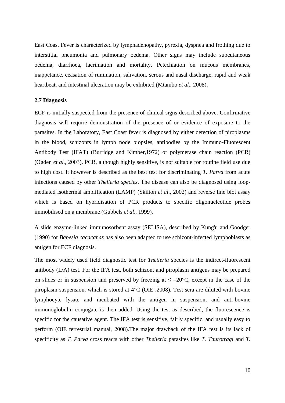East Coast Fever is characterized by lymphadenopathy, pyrexia, dyspnea and frothing due to interstitial pneumonia and pulmonary oedema. Other signs may include subcutaneous oedema, diarrhoea, lacrimation and mortality. Petechiation on mucous membranes, inappetance, ceasation of rumination, salivation, serous and nasal discharge, rapid and weak heartbeat, and intestinal ulceration may be exhibited (Mtambo *et al*., 2008).

#### <span id="page-20-0"></span>**2.7 Diagnosis**

ECF is initially suspected from the presence of clinical signs described above. Confirmative diagnosis will require demonstration of the presence of or evidence of exposure to the parasites. In the Laboratory, East Coast fever is diagnosed by either detection of piroplasms in the blood, schizonts in lymph node biopsies, antibodies by the Immuno-Fluorescent Antibody Test (IFAT) (Burridge and Kimber,1972) or polymerase chain reaction (PCR) (Ogden *et al.,* 2003). PCR, although highly sensitive, is not suitable for routine field use due to high cost. It however is described as the best test for discriminating *T. Parva* from acute infections caused by other *Theileria species*. The disease can also be diagnosed using loopmediated isothermal amplification (LAMP) (Skilton *et al*., 2002) and reverse line blot assay which is based on hybridisation of PCR products to specific oligonucleotide probes immobilised on a membrane (Gubbels *et al*., 1999).

A slide enzyme-linked immunosorbent assay (SELISA), described by Kung'u and Goodger (1990) for *Babesia cacacahas* has also been adapted to use schizont-infected lymphoblasts as antigen for ECF diagnosis.

The most widely used field diagnostic test for *Theileria* species is the indirect-fluorescent antibody (IFA) test. For the IFA test, both schizont and piroplasm antigens may be prepared on slides or in suspension and preserved by freezing at  $\leq -20^{\circ}$ C, except in the case of the piroplasm suspension, which is stored at 4°C (OIE ,2008). Test sera are diluted with bovine lymphocyte lysate and incubated with the antigen in suspension, and anti-bovine immunoglobulin conjugate is then added. Using the test as described, the fluorescence is specific for the causative agent. The IFA test is sensitive, fairly specific, and usually easy to perform (OIE terrestrial manual, 2008).The major drawback of the IFA test is its lack of specificity as *T. Parva* cross reacts with other *Theileria* parasites like *T. Taurotragi* and *T.*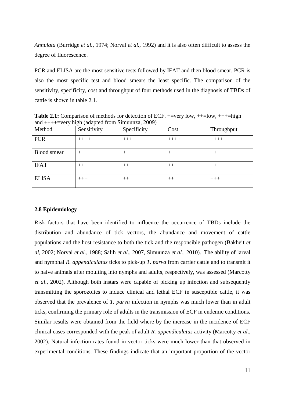*Annulata* (Burridge *et al.,* 1974; Norval *et al.,* 1992) and it is also often difficult to assess the degree of fluorescence.

PCR and ELISA are the most sensitive tests followed by IFAT and then blood smear. PCR is also the most specific test and blood smears the least specific. The comparison of the sensitivity, specificity, cost and throughput of four methods used in the diagnosis of TBDs of cattle is shown in table 2.1.

**Table 2.1:** Comparison of methods for detection of ECF.  $+=$ very low,  $++=$ low,  $++=$ high and ++++=very high (adapted from Simuunza, 2009)

| ┙<br>Method        | $\sim$ $\sim$<br>Sensitivity | $\overline{\phantom{a}}$<br>Specificity | Cost    | Throughput |
|--------------------|------------------------------|-----------------------------------------|---------|------------|
|                    |                              |                                         |         |            |
| <b>PCR</b>         | $+++++$                      | $++++-$                                 | $+++++$ | $++++-$    |
|                    |                              |                                         |         |            |
| <b>Blood</b> smear | $^+$                         | $^{\mathrm{+}}$                         | $^+$    | $++$       |
|                    |                              |                                         |         |            |
| <b>IFAT</b>        | $++$                         | $++$                                    | $++$    | $++$       |
|                    |                              |                                         |         |            |
| <b>ELISA</b>       | $+++$                        | $++$                                    | $++$    | $+++$      |
|                    |                              |                                         |         |            |

#### <span id="page-21-0"></span>**2.8 Epidemiology**

Risk factors that have been identified to influence the occurrence of TBDs include the distribution and abundance of tick vectors, the abundance and movement of cattle populations and the host resistance to both the tick and the responsible pathogen (Bakheit *et al*, 2002; Norval *et al.,* 1988; Salih *et al*., 2007, Simuunza *et al.,* 2010). The ability of larval and nymphal *R. appendiculatus* ticks to pick-up *T. parva* from carrier cattle and to transmit it to naive animals after moulting into nymphs and adults, respectively, was assessed (Marcotty *et al*., 2002). Although both instars were capable of picking up infection and subsequently transmitting the sporozoites to induce clinical and lethal ECF in susceptible cattle, it was observed that the prevalence of *T. parva* infection in nymphs was much lower than in adult ticks, confirming the primary role of adults in the transmission of ECF in endemic conditions. Similar results were obtained from the field where by the increase in the incidence of ECF clinical cases corresponded with the peak of adult *R. appendiculatus* activity (Marcotty *et al*., 2002). Natural infection rates found in vector ticks were much lower than that observed in experimental conditions. These findings indicate that an important proportion of the vector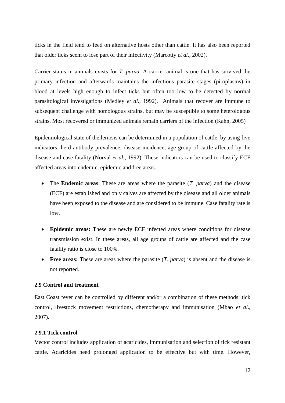ticks in the field tend to feed on alternative hosts other than cattle. It has also been reported that older ticks seem to lose part of their infectivity (Marcotty *et al*., 2002).

Carrier status in animals exists for *T. parva.* A carrier animal is one that has survived the primary infection and afterwards maintains the infectious parasite stages (piroplasms) in blood at levels high enough to infect ticks but often too low to be detected by normal parasitological investigations (Medley *et al*., 1992). Animals that recover are immune to subsequent challenge with homologous strains, but may be susceptible to some heterologous strains. Most recovered or immunized animals remain carriers of the infection (Kahn, 2005)

Epidemiological state of theileriosis can be determined in a population of cattle, by using five indicators: herd antibody prevalence, disease incidence, age group of cattle affected by the disease and case-fatality (Norval *et al.,* 1992). These indicators can be used to classify ECF affected areas into endemic, epidemic and free areas.

- The **Endemic areas**: These are areas where the parasite (*T. parva*) and the disease (ECF) are established and only calves are affected by the disease and all older animals have been exposed to the disease and are considered to be immune. Case fatality rate is low.
- **Epidemic areas:** These are newly ECF infected areas where conditions for disease transmission exist. In these areas, all age groups of cattle are affected and the case fatality ratio is close to 100%.
- **Free areas:** These are areas where the parasite (*T. parva*) is absent and the disease is not reported.

#### <span id="page-22-0"></span>**2.9 Control and treatment**

East Coast fever can be controlled by different and/or a combination of these methods: tick control, livestock movement restrictions, chemotherapy and immunisation (Mbao *et al*., 2007).

#### <span id="page-22-1"></span>**2.9.1 Tick control**

Vector control includes application of acaricides, immunisation and selection of tick resistant cattle. Acaricides need prolonged application to be effective but with time. However,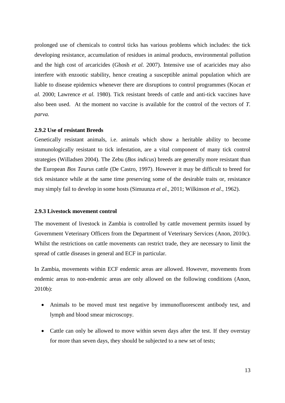prolonged use of chemicals to control ticks has various problems which includes: the tick developing resistance, accumulation of residues in animal products, environmental pollution and the high cost of arcaricides (Ghosh *et al.* 2007). Intensive use of acaricides may also interfere with enzootic stability, hence creating a susceptible animal population which are liable to disease epidemics whenever there are disruptions to control programmes (Kocan *et al.* 2000; Lawrence *et al.* 1980). Tick resistant breeds of cattle and anti-tick vaccines have also been used. At the moment no vaccine is available for the control of the vectors of *T. parva.* 

#### <span id="page-23-0"></span>**2.9.2 Use of resistant Breeds**

Genetically resistant animals, i.e. animals which show a heritable ability to become immunologically resistant to tick infestation, are a vital component of many tick control strategies (Willadsen 2004). The Zebu (*Bos indicus*) breeds are generally more resistant than the European *Bos Taurus* cattle (De Castro, 1997). However it may be difficult to breed for tick resistance while at the same time preserving some of the desirable traits or, resistance may simply fail to develop in some hosts (Simuunza *et al*., 2011; Wilkinson *et al*., 1962).

#### <span id="page-23-1"></span>**2.9.3 Livestock movement control**

The movement of livestock in Zambia is controlled by cattle movement permits issued by Government Veterinary Officers from the Department of Veterinary Services (Anon, 2010c). Whilst the restrictions on cattle movements can restrict trade, they are necessary to limit the spread of cattle diseases in general and ECF in particular.

In Zambia, movements within ECF endemic areas are allowed. However, movements from endemic areas to non-endemic areas are only allowed on the following conditions (Anon, 2010b):

- Animals to be moved must test negative by immunofluorescent antibody test, and lymph and blood smear microscopy.
- Cattle can only be allowed to move within seven days after the test. If they overstay for more than seven days, they should be subjected to a new set of tests;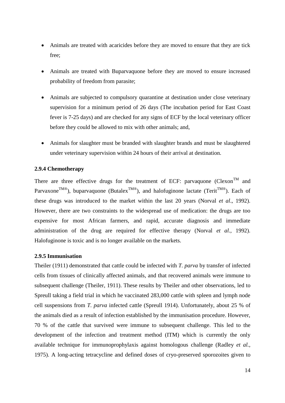- Animals are treated with acaricides before they are moved to ensure that they are tick free;
- Animals are treated with Buparvaquone before they are moved to ensure increased probability of freedom from parasite;
- Animals are subjected to compulsory quarantine at destination under close veterinary supervision for a minimum period of 26 days (The incubation period for East Coast fever is 7-25 days) and are checked for any signs of ECF by the local veterinary officer before they could be allowed to mix with other animals; and,
- Animals for slaughter must be branded with slaughter brands and must be slaughtered under veterinary supervision within 24 hours of their arrival at destination.

# <span id="page-24-0"></span>**2.9.4 Chemotherapy**

There are three effective drugs for the treatment of ECF: parvaquone (Clexon<sup>TM</sup> and Parvaxone<sup>TM®</sup>), buparvaquone (Butalex<sup>TM®</sup>), and halofuginone lactate (Terit<sup>TM®</sup>). Each of these drugs was introduced to the market within the last 20 years (Norval *et al*., 1992). However, there are two constraints to the widespread use of medication: the drugs are too expensive for most African farmers, and rapid, accurate diagnosis and immediate administration of the drug are required for effective therapy (Norval *et al.,* 1992). Halofuginone is toxic and is no longer available on the markets.

#### <span id="page-24-1"></span>**2.9.5 Immunisation**

Theiler (1911) demonstrated that cattle could be infected with *T. parva* by transfer of infected cells from tissues of clinically affected animals, and that recovered animals were immune to subsequent challenge (Theiler, 1911). These results by Theiler and other observations, led to Spreull taking a field trial in which he vaccinated 283,000 cattle with spleen and lymph node cell suspensions from *T. parva* infected cattle (Spreull 1914). Unfortunately, about 25 % of the animals died as a result of infection established by the immunisation procedure. However, 70 % of the cattle that survived were immune to subsequent challenge. This led to the development of the infection and treatment method (ITM) which is currently the only available technique for immunoprophylaxis against homologous challenge (Radley *et al.,*  1975). A long-acting tetracycline and defined doses of cryo-preserved sporozoites given to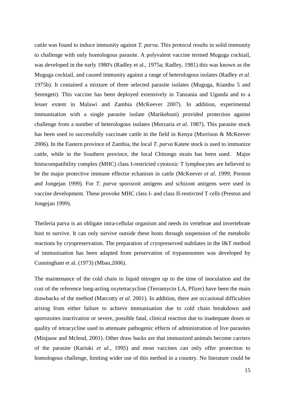cattle was found to induce immunity against *T. parva*. This protocol results in solid immunity to challenge with only homologous parasite. A polyvalent vaccine termed Muguga cocktail, was developed in the early 1980's (Radley et al., 1975a; Radley, 1981).this was known as the Muguga cocktail, and caused immunity against a range of heterologous isolates (Radley *et al.*  1975b). It contained a mixture of three selected parasite isolates (Muguga, Kiambu 5 and Serengeti). This vaccine has been deployed extensively in Tanzania and Uganda and to a lesser extent in Malawi and Zambia (McKeever 2007). In addition, experimental immunisation with a single parasite isolate (Marikebuni) provided protection against challenge from a number of heterologous isolates (Morzaria *et al.* 1987). This parasite stock has been used to successfully vaccinate cattle in the field in Kenya (Morrison & McKeever 2006). In the Eastern province of Zambia, the local *T. parva* Katete stock is used to immunize cattle, while in the Southern province, the local Chitongo strain has been used. Major histocompatibility complex (MHC) class I-restricted cytotoxic T lymphocytes are believed to be the major protective immune effector echanism in cattle (McKeever *et al.* 1999; Preston and Jongejan 1999). For *T. parva* sporozoit antigens and schizont antigens were used in vaccine development. These provoke MHC class I- and class II-restircted T cells (Preston and Jongejan 1999).

Theileria parva is an obligate intra-cellular organism and needs its vertebrae and invertebrate host to survive. It can only survive outside these hosts through suspension of the metabolic reactions by cryopreservation. The preparation of cryopreserved stabilates in the I&T method of immunisation has been adapted from preservation of trypanosomes was developed by Cunningham et al. (1973) (Mbao,2006).

The maintenance of the cold chain in liquid nitrogen up to the time of inoculation and the cost of the reference long-acting oxytetracycline (Terramycin LA, Pfizer) have been the main drawbacks of the method (Marcotty *et al*. 2001). In addition, there are occasional difficulties arising from either failure to achieve immunisation due to cold chain breakdown and sporozoites inactivation or severe, possible fatal, clinical reaction due to inadequate doses or quality of tetracycline used to attenuate pathogenic effects of administration of live parasites (Minjauw and Mcleod, 2001). Other draw backs are that immunized animals become carriers of the parasite (Kariuki *et al*., 1995) and most vaccines can only offer protection to homologous challenge, limiting wider use of this method in a country. No literature could be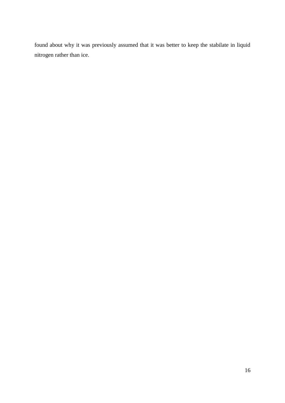found about why it was previously assumed that it was better to keep the stabilate in liquid nitrogen rather than ice.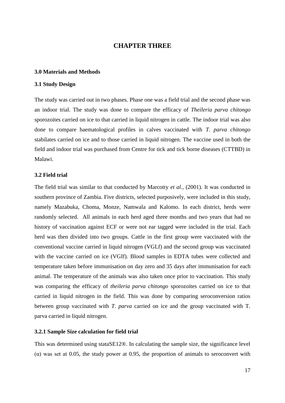# **CHAPTER THREE**

#### <span id="page-27-1"></span><span id="page-27-0"></span>**3.0 Materials and Methods**

#### <span id="page-27-2"></span>**3.1 Study Design**

The study was carried out in two phases. Phase one was a field trial and the second phase was an indoor trial. The study was done to compare the efficacy of *Theileria parva chitongo* sporozoites carried on ice to that carried in liquid nitrogen in cattle. The indoor trial was also done to compare haematological profiles in calves vaccinated with *T. parva chitongo* stabilates carried on ice and to those carried in liquid nitrogen. The vaccine used in both the field and indoor trial was purchased from Centre for tick and tick borne diseases (CTTBD) in Malawi.

#### <span id="page-27-3"></span>**3.2 Field trial**

The field trial was similar to that conducted by Marcotty *et al.,* (2001). It was conducted in southern province of Zambia. Five districts, selected purposively, were included in this study, namely Mazabuka, Choma, Monze, Namwala and Kalomo. In each district, herds were randomly selected. All animals in each herd aged three months and two years that had no history of vaccination against ECF or were not ear tagged were included in the trial. Each herd was then divided into two groups. Cattle in the first group were vaccinated with the conventional vaccine carried in liquid nitrogen (VGLf) and the second group was vaccinated with the vaccine carried on ice (VGIf). Blood samples in EDTA tubes were collected and temperature taken before immunisation on day zero and 35 days after immunisation for each animal. The temperature of the animals was also taken once prior to vaccination. This study was comparing the efficacy of *theileria parva chitongo* sporozoites carried on ice to that carried in liquid nitrogen in the field. This was done by comparing seroconversion ratios between group vaccinated with *T. parva* carried on ice and the group vaccinated with T. parva carried in liquid nitrogen.

#### <span id="page-27-4"></span>**3.2.1 Sample Size calculation for field trial**

This was determined using stataSE12®. In calculating the sample size, the significance level ( $\alpha$ ) was set at 0.05, the study power at 0.95, the proportion of animals to seroconvert with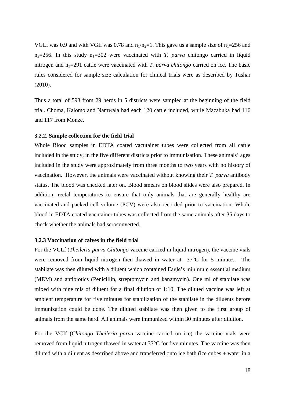VGLf was 0.9 and with VGIf was 0.78 and  $n_1/n_2=1$ . This gave us a sample size of  $n_1=256$  and  $n_2=256$ . In this study  $n_1=302$  were vaccinated with *T. parva* chitongo carried in liquid nitrogen and  $n_2$ =291 cattle were vaccinated with *T. parva chitongo* carried on ice. The basic rules considered for sample size calculation for clinical trials were as described by Tushar (2010).

Thus a total of 593 from 29 herds in 5 districts were sampled at the beginning of the field trial. Choma, Kalomo and Namwala had each 120 cattle included, while Mazabuka had 116 and 117 from Monze.

#### <span id="page-28-0"></span>**3.2.2. Sample collection for the field trial**

Whole Blood samples in EDTA coated vacutainer tubes were collected from all cattle included in the study, in the five different districts prior to immunisation. These animals' ages included in the study were approximately from three months to two years with no history of vaccination. However, the animals were vaccinated without knowing their *T. parva* antibody status. The blood was checked later on. Blood smears on blood slides were also prepared. In addition, rectal temperatures to ensure that only animals that are generally healthy are vaccinated and packed cell volume (PCV) were also recorded prior to vaccination. Whole blood in EDTA coated vacutainer tubes was collected from the same animals after 35 days to check whether the animals had seroconverted.

# <span id="page-28-1"></span>**3.2.3 Vaccination of calves in the field trial**

For the VCLf (*Theileria parva Chitongo* vaccine carried in liquid nitrogen), the vaccine vials were removed from liquid nitrogen then thawed in water at 37°C for 5 minutes. The stabilate was then diluted with a diluent which contained Eagle's minimum essential medium (MEM) and antibiotics (Penicillin, streptomycin and kanamycin). One ml of stabilate was mixed with nine mls of diluent for a final dilution of 1:10. The diluted vaccine was left at ambient temperature for five minutes for stabilization of the stabilate in the diluents before immunization could be done. The diluted stabilate was then given to the first group of animals from the same herd. All animals were immunized within 30 minutes after dilution.

For the VCIf (*Chitongo Theileria parva* vaccine carried on ice) the vaccine vials were removed from liquid nitrogen thawed in water at 37°C for five minutes. The vaccine was then diluted with a diluent as described above and transferred onto ice bath (ice cubes + water in a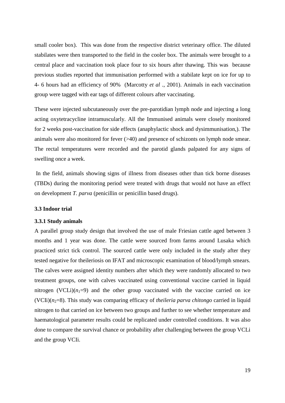small cooler box). This was done from the respective district veterinary office. The diluted stabilates were then transported to the field in the cooler box. The animals were brought to a central place and vaccination took place four to six hours after thawing. This was because previous studies reported that immunisation performed with a stabilate kept on ice for up to 4- 6 hours had an efficiency of 90% (Marcotty *et al* ., 2001). Animals in each vaccination group were tagged with ear tags of different colours after vaccinating.

These were injected subcutaneously over the pre-parotidian lymph node and injecting a long acting oxytetracycline intramuscularly. All the Immunised animals were closely monitored for 2 weeks post-vaccination for side effects (anaphylactic shock and dysimmunisation,). The animals were also monitored for fever (>40) and presence of schizonts on lymph node smear. The rectal temperatures were recorded and the parotid glands palpated for any signs of swelling once a week.

In the field, animals showing signs of illness from diseases other than tick borne diseases (TBDs) during the monitoring period were treated with drugs that would not have an effect on development *T. parva* (penicillin or penicillin based drugs).

#### <span id="page-29-0"></span>**3.3 Indoor trial**

#### <span id="page-29-1"></span>**3.3.1 Study animals**

A parallel group study design that involved the use of male Friesian cattle aged between 3 months and 1 year was done. The cattle were sourced from farms around Lusaka which practiced strict tick control. The sourced cattle were only included in the study after they tested negative for theileriosis on IFAT and microscopic examination of blood/lymph smears. The calves were assigned identity numbers after which they were randomly allocated to two treatment groups, one with calves vaccinated using conventional vaccine carried in liquid nitrogen (VCLi) $(n_1=9)$  and the other group vaccinated with the vaccine carried on ice (VCIi) $(n_2=8)$ . This study was comparing efficacy of *theileria parva chitongo* carried in liquid nitrogen to that carried on ice between two groups and further to see whether temperature and haematological parameter results could be replicated under controlled conditions. It was also done to compare the survival chance or probability after challenging between the group VCLi and the group VCIi.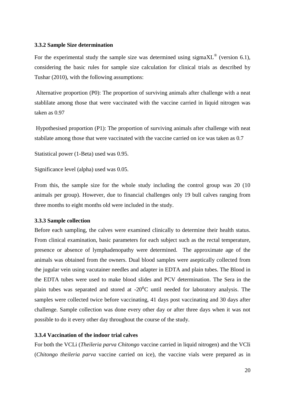#### <span id="page-30-0"></span>**3.3.2 Sample Size determination**

For the experimental study the sample size was determined using sigma $XL^@$  (version 6.1), considering the basic rules for sample size calculation for clinical trials as described by Tushar (2010), with the following assumptions:

Alternative proportion (P0): The proportion of surviving animals after challenge with a neat stablilate among those that were vaccinated with the vaccine carried in liquid nitrogen was taken as 0.97

Hypothesised proportion (P1): The proportion of surviving animals after challenge with neat stabilate among those that were vaccinated with the vaccine carried on ice was taken as 0.7

Statistical power (1-Beta) used was 0.95.

Significance level (alpha) used was 0.05.

From this, the sample size for the whole study including the control group was 20 (10 animals per group). However, due to financial challenges only 19 bull calves ranging from three months to eight months old were included in the study.

#### <span id="page-30-1"></span>**3.3.3 Sample collection**

Before each sampling, the calves were examined clinically to determine their health status. From clinical examination, basic parameters for each subject such as the rectal temperature, presence or absence of lymphadenopathy were determined. The approximate age of the animals was obtained from the owners. Dual blood samples were aseptically collected from the jugular vein using vacutainer needles and adapter in EDTA and plain tubes. The Blood in the EDTA tubes were used to make blood slides and PCV determination. The Sera in the plain tubes was separated and stored at  $-20^{\circ}$ C until needed for laboratory analysis. The samples were collected twice before vaccinating, 41 days post vaccinating and 30 days after challenge. Sample collection was done every other day or after three days when it was not possible to do it every other day throughout the course of the study.

## <span id="page-30-2"></span>**3.3.4 Vaccination of the indoor trial calves**

For both the VCLi (*Theileria parva Chitongo* vaccine carried in liquid nitrogen) and the VCIi (*Chitongo theileria parva* vaccine carried on ice), the vaccine vials were prepared as in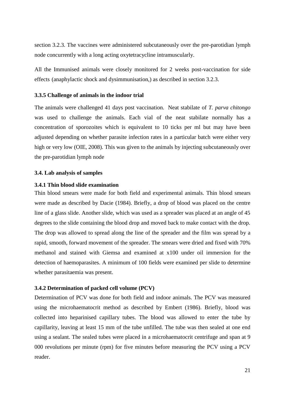section 3.2.3. The vaccines were administered subcutaneously over the pre-parotidian lymph node concurrently with a long acting oxytetracycline intramuscularly.

All the Immunised animals were closely monitored for 2 weeks post-vaccination for side effects (anaphylactic shock and dysimmunisation,) as described in section 3.2.3.

#### <span id="page-31-0"></span>**3.3.5 Challenge of animals in the indoor trial**

The animals were challenged 41 days post vaccination. Neat stabilate of *T. parva chitongo* was used to challenge the animals. Each vial of the neat stabilate normally has a concentration of sporozoites which is equivalent to 10 ticks per ml but may have been adjusted depending on whether parasite infection rates in a particular batch were either very high or very low (OIE, 2008). This was given to the animals by injecting subcutaneously over the pre-parotidian lymph node

#### <span id="page-31-1"></span>**3.4. Lab analysis of samples**

#### **3.4.1 Thin blood slide examination**

Thin blood smears were made for both field and experimental animals. Thin blood smears were made as described by Dacie (1984). Briefly, a drop of blood was placed on the centre line of a glass slide. Another slide, which was used as a spreader was placed at an angle of 45 degrees to the slide containing the blood drop and moved back to make contact with the drop. The drop was allowed to spread along the line of the spreader and the film was spread by a rapid, smooth, forward movement of the spreader. The smears were dried and fixed with 70% methanol and stained with Giemsa and examined at x100 under oil immersion for the detection of haemoparasites. A minimum of 100 fields were examined per slide to determine whether parasitaemia was present.

#### <span id="page-31-2"></span>**3.4.2 Determination of packed cell volume (PCV)**

Determination of PCV was done for both field and indoor animals. The PCV was measured using the microhaematocrit method as described by Embert (1986). Briefly, blood was collected into heparinised capillary tubes. The blood was allowed to enter the tube by capillarity, leaving at least 15 mm of the tube unfilled. The tube was then sealed at one end using a sealant. The sealed tubes were placed in a microhaematocrit centrifuge and span at 9 000 revolutions per minute (rpm) for five minutes before measuring the PCV using a PCV reader.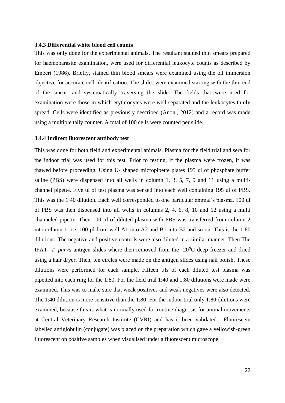#### **3.4.3 Differential white blood cell counts**

This was only done for the experimental animals. The resultant stained thin smears prepared for haemoparasite examination, were used for differential leukocyte counts as described by Embert (1986). Briefly, stained thin blood smears were examined using the oil immersion objective for accurate cell identification. The slides were examined starting with the thin end of the smear, and systematically traversing the slide. The fields that were used for examination were those in which erythrocytes were well separated and the leukocytes thinly spread. Cells were identified as previously described (Anon., 2012) and a record was made using a multiple tally counter. A total of 100 cells were counted per slide.

#### **3.4.4 Indirect fluorescent antibody test**

This was done for both field and experimental animals. Plasma for the field trial and sera for the indoor trial was used for this test. Prior to testing, if the plasma were frozen, it was thawed before proceeding. Using U- shaped micropipette plates 195 ul of phosphate buffer saline (PBS) were dispensed into all wells in column 1, 3, 5, 7, 9 and 11 using a multichannel pipette. Five ul of test plasma was sensed into each well containing 195 ul of PBS. This was the 1:40 dilution. Each well corresponded to one particular animal's plasma. 100 ul of PBS was then dispensed into all wells in columns 2, 4, 6, 8, 10 and 12 using a multi channeled pipette. Then 100 µl of diluted plasma with PBS was transferred from column 2 into column 1, i.e. 100 µl from well A1 into A2 and B1 into B2 and so on. This is the 1:80 dilutions. The negative and positive controls were also diluted in a similar manner. Then The IFAT- *T. parva* antigen slides where then removed from the -20<sup>o</sup>C deep freezer and dried using a hair dryer. Then, ten circles were made on the antigen slides using nail polish. These dilutions were performed for each sample. Fifteen µls of each diluted test plasma was pipetted into each ring for the 1:80. For the field trial 1:40 and 1:80 dilutions were made were examined. This was to make sure that weak positives and weak negatives were also detected. The 1:40 dilution is more sensitive than the 1:80. For the indoor trial only 1:80 dilutions were examined, because this is what is normally used for routine diagnosis for animal movements at Central Veterinary Research Institute (CVRI) and has it been validated. Fluorescein labelled antiglobulin (conjugate) was placed on the preparation which gave a yellowish-green fluorescent on positive samples when visualised under a fluorescent microscope.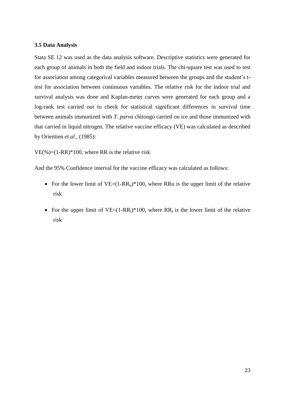#### <span id="page-33-0"></span>**3.5 Data Analysis**

Stata SE 12 was used as the data analysis software. Descriptive statistics were generated for each group of animals in both the field and indoor trials. The chi-square test was used to test for association among categorical variables measured between the groups and the student's ttest for association between continuous variables. The relative risk for the indoor trial and survival analysis was done and Kaplan-meier curves were generated for each group and a log-rank test carried out to check for statistical significant differences in survival time between animals immunized with *T. parva* chitongo carried on ice and those immunized with that carried in liquid nitrogen. The relative vaccine efficacy (VE) was calculated as described by Orientien *et al*., (1985):

 $VE(\%)=(1-RR)*100$ , where RR is the relative risk

And the 95% Confidence interval for the vaccine efficacy was calculated as follows:

- For the lower limit of  $VE=(1-RR_u)*100$ , where RRu is the upper limit of the relative risk
- For the upper limit of  $VE=(1-RR_1)*100$ , where  $RR_1$  is the lower limit of the relative risk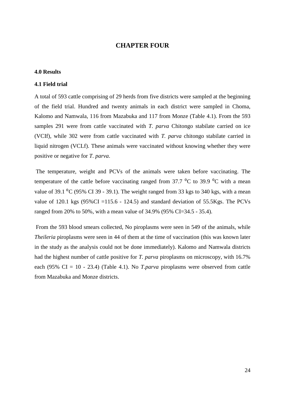# **CHAPTER FOUR**

#### <span id="page-34-1"></span><span id="page-34-0"></span>**4.0 Results**

#### <span id="page-34-2"></span>**4.1 Field trial**

A total of 593 cattle comprising of 29 herds from five districts were sampled at the beginning of the field trial. Hundred and twenty animals in each district were sampled in Choma, Kalomo and Namwala, 116 from Mazabuka and 117 from Monze (Table 4.1). From the 593 samples 291 were from cattle vaccinated with *T. parva* Chitongo stabilate carried on ice (VCIf), while 302 were from cattle vaccinated with *T. parva* chitongo stabilate carried in liquid nitrogen (VCLf). These animals were vaccinated without knowing whether they were positive or negative for *T. parva*.

The temperature, weight and PCVs of the animals were taken before vaccinating. The temperature of the cattle before vaccinating ranged from  $37.7 \,^{\circ}$ C to  $39.9 \,^{\circ}$ C with a mean value of 39.1  $^0C$  (95% CI 39 - 39.1). The weight ranged from 33 kgs to 340 kgs, with a mean value of 120.1 kgs  $(95\%CI = 115.6 - 124.5)$  and standard deviation of 55.5Kgs. The PCVs ranged from 20% to 50%, with a mean value of 34.9% (95% CI=34.5 - 35.4).

From the 593 blood smears collected, No piroplasms were seen in 549 of the animals, while *Theileria* piroplasms were seen in 44 of them at the time of vaccination (this was known later in the study as the analysis could not be done immediately). Kalomo and Namwala districts had the highest number of cattle positive for *T. parva* piroplasms on microscopy, with 16.7% each (95% CI = 10 - 23.4) (Table 4.1). No *T.parva* piroplasms were observed from cattle from Mazabuka and Monze districts.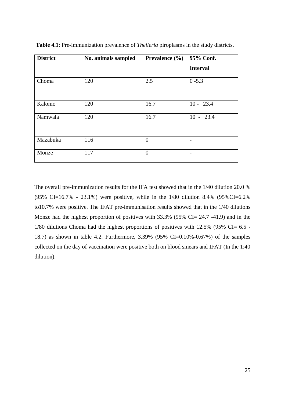| <b>District</b> | No. animals sampled |                | 95% Conf.       |  |
|-----------------|---------------------|----------------|-----------------|--|
|                 |                     |                | <b>Interval</b> |  |
| Choma           | 120                 | 2.5            | $0 - 5.3$       |  |
| Kalomo          | 120                 | 16.7           | $10 - 23.4$     |  |
| Namwala         | 120                 | 16.7           | $10 - 23.4$     |  |
| Mazabuka        | 116                 | $\overline{0}$ |                 |  |
| Monze           | 117                 | $\overline{0}$ |                 |  |

**Table 4.1**: Pre-immunization prevalence of *Theileria* piroplasms in the study districts.

The overall pre-immunization results for the IFA test showed that in the 1/40 dilution 20.0 % (95% CI=16.7% - 23.1%) were positive, while in the 1/80 dilution 8.4% (95%CI=6.2% to10.7% were positive. The IFAT pre-immunisation results showed that in the 1/40 dilutions Monze had the highest proportion of positives with 33.3% (95% CI= 24.7 -41.9) and in the 1/80 dilutions Choma had the highest proportions of positives with 12.5% (95% CI= 6.5 - 18.7) as shown in table 4.2. Furthermore, 3.39% (95% CI=0.10%-0.67%) of the samples collected on the day of vaccination were positive both on blood smears and IFAT (In the 1:40 dilution).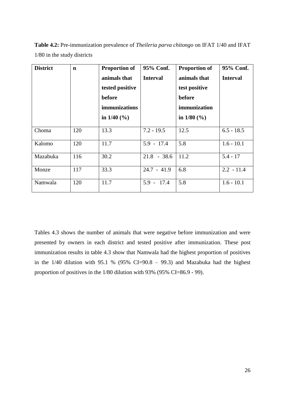| <b>District</b> | $\mathbf n$ | <b>Proportion of</b><br>animals that<br>tested positive<br>before<br><i>immunizations</i><br>in $1/40$ (%) | 95% Conf.<br><b>Interval</b> | <b>Proportion of</b><br>animals that<br>test positive<br>before<br>immunization<br>in $1/80$ (%) | 95% Conf.<br><b>Interval</b> |
|-----------------|-------------|------------------------------------------------------------------------------------------------------------|------------------------------|--------------------------------------------------------------------------------------------------|------------------------------|
| Choma           | 120         | 13.3                                                                                                       | $7.2 - 19.5$                 | 12.5                                                                                             | $6.5 - 18.5$                 |
| Kalomo          | 120         | 11.7                                                                                                       | $5.9 - 17.4$                 | 5.8                                                                                              | $1.6 - 10.1$                 |
| Mazabuka        | 116         | 30.2                                                                                                       | $21.8 - 38.6$                | 11.2                                                                                             | $5.4 - 17$                   |
| Monze           | 117         | 33.3                                                                                                       | $24.7 - 41.9$                | 6.8                                                                                              | $2.2 - 11.4$                 |
| Namwala         | 120         | 11.7                                                                                                       | $5.9 - 17.4$                 | 5.8                                                                                              | $1.6 - 10.1$                 |

**Table 4.2:** Pre-immunization prevalence of *Theileria parva chitongo* on IFAT 1/40 and IFAT 1/80 in the study districts

Tables 4.3 shows the number of animals that were negative before immunization and were presented by owners in each district and tested positive after immunization. These post immunization results in table 4.3 show that Namwala had the highest proportion of positives in the  $1/40$  dilution with 95.1 % (95% CI=90.8 – 99.3) and Mazabuka had the highest proportion of positives in the 1/80 dilution with 93% (95% CI=86.9 - 99).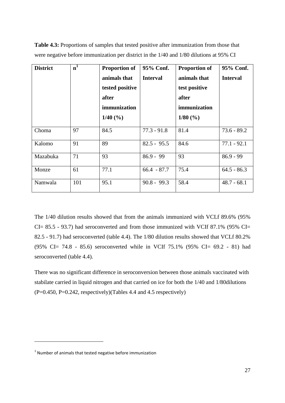| <b>District</b> | $\overline{\mathbf{n}}^1$ | <b>Proportion of</b><br>animals that<br>tested positive<br>after<br>immunization<br>$1/40$ (%) | 95% Conf.<br><b>Interval</b> | <b>Proportion of</b><br>animals that<br>test positive<br>after<br>immunization<br>$1/80$ (%) | 95% Conf.<br><b>Interval</b> |
|-----------------|---------------------------|------------------------------------------------------------------------------------------------|------------------------------|----------------------------------------------------------------------------------------------|------------------------------|
| Choma           | 97                        | 84.5                                                                                           | $77.3 - 91.8$                | 81.4                                                                                         | $73.6 - 89.2$                |
| Kalomo          | 91                        | 89                                                                                             | $82.5 - 95.5$                | 84.6                                                                                         | $77.1 - 92.1$                |
| Mazabuka        | 71                        | 93                                                                                             | $86.9 - 99$                  | 93                                                                                           | $86.9 - 99$                  |
| Monze           | 61                        | 77.1                                                                                           | $66.4 - 87.7$                | 75.4                                                                                         | $64.5 - 86.3$                |
| Namwala         | 101                       | 95.1                                                                                           | $90.8 - 99.3$                | 58.4                                                                                         | $48.7 - 68.1$                |

**Table 4.3:** Proportions of samples that tested positive after immunization from those that were negative before immunization per district in the 1/40 and 1/80 dilutions at 95% CI

The 1/40 dilution results showed that from the animals immunized with VCLf 89.6% (95% CI= 85.5 - 93.7) had seroconverted and from those immunized with VCIf 87.1% (95% CI= 82.5 - 91.7) had seroconverted (table 4.4). The 1/80 dilution results showed that VCLf 80.2% (95% CI= 74.8 - 85.6) seroconverted while in VCIf 75.1% (95% CI= 69.2 - 81) had seroconverted (table 4.4).

There was no significant difference in seroconversion between those animals vaccinated with stabilate carried in liquid nitrogen and that carried on ice for both the 1/40 and 1/80dilutions  $(P=0.450, P=0.242, respectively)$  (Tables 4.4 and 4.5 respectively)

**.** 

 $1$  Number of animals that tested negative before immunization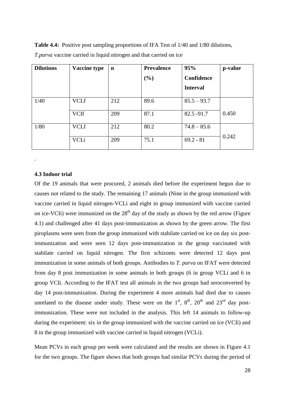| <b>Dilutions</b> | <b>Vaccine type</b> | $\mathbf n$ | <b>Prevalence</b> | 95%               | p-value |
|------------------|---------------------|-------------|-------------------|-------------------|---------|
|                  |                     |             | (%)               | <b>Confidence</b> |         |
|                  |                     |             |                   | <b>Interval</b>   |         |
| 1/40             | <b>VCLf</b>         | 212         | 89.6              | $85.5 - 93.7$     |         |
|                  | <b>VCIf</b>         | 209         | 87.1              | $82.5 - 91.7$     | 0.450   |
| 1/80             | <b>VCLf</b>         | 212         | 80.2              | $74.8 - 85.6$     |         |
|                  | <b>VCLi</b>         | 209         | 75.1              | $69.2 - 81$       | 0.242   |

**Table 4.4:** Positive post sampling proportions of IFA Test of 1/40 and 1/80 dilutions, *T.parva* vaccine carried in liquid nitrogen and that carried on ice

#### <span id="page-38-0"></span>**4.3 Indoor trial**

.

Of the 19 animals that were procured, 2 animals died before the experiment begun due to causes not related to the study. The remaining 17 animals (Nine in the group immunized with vaccine carried in liquid nitrogen-VCLi and eight in group immunized with vaccine carried on ice-VCIi) were immunized on the  $28<sup>th</sup>$  day of the study as shown by the red arrow (Figure 4.1) and challenged after 41 days post-immunization as shown by the green arrow. The first piroplasms were seen from the group immunized with stabilate carried on ice on day six postimmunization and were seen 12 days post-immunization in the group vaccinated with stabilate carried on liquid nitrogen. The first schizonts were detected 12 days post immunization in some animals of both groups. Antibodies to *T. parva* on IFAT were detected from day 8 post immunization in some animals in both groups (6 in group VCLi and 6 in group VCIi. According to the IFAT test all animals in the two groups had seroconverted by day 14 post-immunization. During the experiment 4 more animals had died due to causes unrelated to the disease under study. These were on the  $1<sup>st</sup>$ ,  $8<sup>th</sup>$ ,  $20<sup>th</sup>$  and  $23<sup>rd</sup>$  day postimmunization. These were not included in the analysis. This left 14 animals to follow-up during the experiment: six in the group immunized with the vaccine carried on ice (VCIi) and 8 in the group immunized with vaccine carried in liquid nitrogen (VCLi).

Mean PCVs in each group per week were calculated and the results are shown in Figure 4.1 for the two groups. The figure shows that both groups had similar PCVs during the period of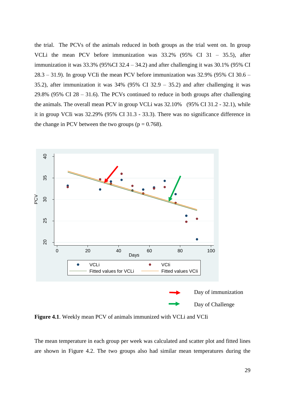the trial. The PCVs of the animals reduced in both groups as the trial went on. In group VCLi the mean PCV before immunization was 33.2% (95% CI 31 – 35.5), after immunization it was  $33.3\%$  (95%CI 32.4 – 34.2) and after challenging it was  $30.1\%$  (95% CI  $28.3 - 31.9$ ). In group VCIi the mean PCV before immunization was  $32.9\%$  (95% CI 30.6 – 35.2), after immunization it was 34% (95% CI 32.9 – 35.2) and after challenging it was 29.8% (95% CI  $28 - 31.6$ ). The PCVs continued to reduce in both groups after challenging the animals. The overall mean PCV in group VCLi was 32.10% (95% CI 31.2 - 32.1), while it in group VCIi was 32.29% (95% CI 31.3 - 33.3). There was no significance difference in the change in PCV between the two groups ( $p = 0.768$ ).



**Figure 4.1**. Weekly mean PCV of animals immunized with VCLi and VCIi

The mean temperature in each group per week was calculated and scatter plot and fitted lines are shown in Figure 4.2. The two groups also had similar mean temperatures during the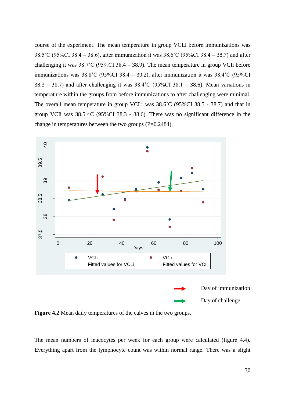course of the experiment. The mean temperature in group VCLi before immunizations was 38.5˚C (95%CI 38.4 – 38.6), after immunization it was 38.6˚C (95%CI 38.4 – 38.7) and after challenging it was  $38.7^{\circ}$ C (95%CI 38.4 – 38.9). The mean temperature in group VCIi before immunizations was 38.8˚C (95%CI 38.4 – 39.2), after immunization it was 38.4˚C (95%CI  $38.3 - 38.7$ ) and after challenging it was  $38.4^{\circ}$ C (95%CI 38.1 – 38.6). Mean variations in temperature within the groups from before immunizations to after challenging were minimal. The overall mean temperature in group VCLi was 38.6˚C (95%CI 38.5 - 38.7) and that in group VCIi was  $38.5 \text{ °C}$  (95%CI 38.3 - 38.6). There was no significant difference in the change in temperatures between the two groups (P=0.2484).



**Figure 4.2** Mean daily temperatures of the calves in the two groups.

The mean numbers of leucocytes per week for each group were calculated (figure 4.4). Everything apart from the lymphocyte count was within normal range. There was a slight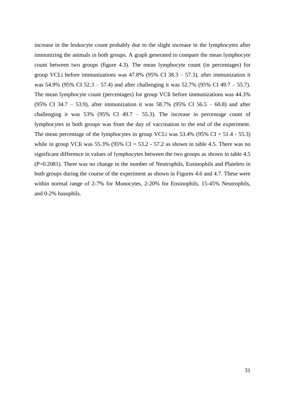increase in the leukocyte count probably due to the slight increase in the lymphocytes after immunizing the animals in both groups. A graph generated to compare the mean lymphocyte count between two groups (figure 4.3). The mean lymphocyte count (in percentages) for group VCLi before immunizations was 47.8% (95% CI 38.3 – 57.3), after immunization it was 54.9% (95% CI 52.3 – 57.4) and after challenging it was 52.7% (95% CI 49.7 – 55.7). The mean lymphocyte count (percentages) for group VCIi before immunizations was 44.3% (95% CI 34.7 – 53.9), after immunization it was 58.7% (95% CI 56.5 – 60.8) and after challenging it was  $53\%$  (95% CI 49.7 – 55.3). The increase in percentage count of lymphocytes in both groups was from the day of vaccination to the end of the experiment. The mean percentage of the lymphocytes in group VCLi was  $53.4\%$  (95% CI = 51.4 - 55.3) while in group VCIi was  $55.3\%$  (95% CI =  $53.2$  -  $57.2$  as shown in table 4.5. There was no significant difference in values of lymphocytes between the two groups as shown in table 4.5 (P=0.2081). There was no change in the number of Neutrophils, Eosinophils and Platelets in both groups during the course of the experiment as shown in Figures 4.6 and 4.7. These were within normal range of 2-7% for Monocytes, 2-20% for Eosinophils, 15-45% Neutrophils, and 0-2% basophils.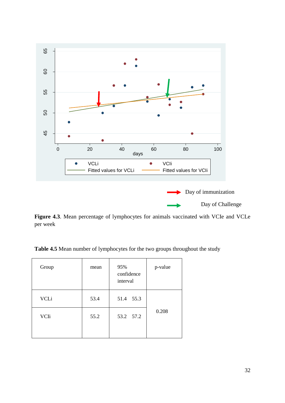

Figure 4.3. Mean percentage of lymphocytes for animals vaccinated with VCIe and VCLe per week

**Table 4.5** Mean number of lymphocytes for the two groups throughout the study

| 0.208 |
|-------|
|       |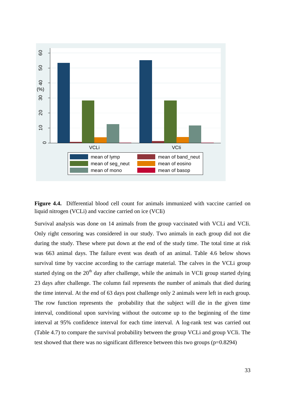

**Figure 4.4.** Differential blood cell count for animals immunized with vaccine carried on liquid nitrogen (VCLi) and vaccine carried on ice (VCIi)

Survival analysis was done on 14 animals from the group vaccinated with VCLi and VCIi. Only right censoring was considered in our study. Two animals in each group did not die during the study. These where put down at the end of the study time. The total time at risk was 663 animal days. The failure event was death of an animal. Table 4.6 below shows survival time by vaccine according to the carriage material. The calves in the VCLi group started dying on the  $20<sup>th</sup>$  day after challenge, while the animals in VCIi group started dying 23 days after challenge. The column fail represents the number of animals that died during the time interval. At the end of 63 days post challenge only 2 animals were left in each group. The row function represents the probability that the subject will die in the given time interval, conditional upon surviving without the outcome up to the beginning of the time interval at 95% confidence interval for each time interval. A log-rank test was carried out (Table 4.7) to compare the survival probability between the group VCLi and group VCIi. The test showed that there was no significant difference between this two groups (p=0.8294)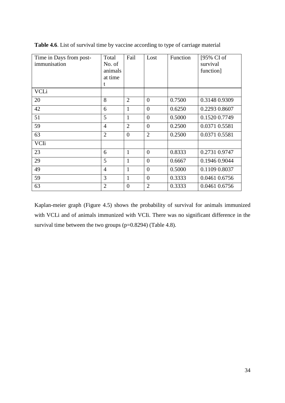| Time in Days from post- | Total          | Fail           | Lost           | Function | [95% CI of    |
|-------------------------|----------------|----------------|----------------|----------|---------------|
| immunisation            | No. of         |                |                |          | survival      |
|                         | animals        |                |                |          | function]     |
|                         | at time        |                |                |          |               |
|                         | t              |                |                |          |               |
| <b>VCLi</b>             |                |                |                |          |               |
| 20                      | 8              | $\overline{2}$ | $\overline{0}$ | 0.7500   | 0.3148 0.9309 |
| 42                      | 6              | $\mathbf{1}$   | $\overline{0}$ | 0.6250   | 0.2293 0.8607 |
| 51                      | 5              | $\mathbf{1}$   | $\overline{0}$ | 0.5000   | 0.1520 0.7749 |
| 59                      | $\overline{4}$ | $\overline{2}$ | $\overline{0}$ | 0.2500   | 0.0371 0.5581 |
| 63                      | $\overline{2}$ | $\overline{0}$ | $\overline{2}$ | 0.2500   | 0.0371 0.5581 |
| VCIi                    |                |                |                |          |               |
| 23                      | 6              | $\mathbf{1}$   | $\overline{0}$ | 0.8333   | 0.2731 0.9747 |
| 29                      | 5              | $\mathbf{1}$   | $\overline{0}$ | 0.6667   | 0.1946 0.9044 |
| 49                      | $\overline{4}$ | $\mathbf{1}$   | $\overline{0}$ | 0.5000   | 0.1109 0.8037 |
| 59                      | 3              | $\mathbf{1}$   | $\overline{0}$ | 0.3333   | 0.0461 0.6756 |
| 63                      | $\overline{2}$ | $\overline{0}$ | $\overline{2}$ | 0.3333   | 0.0461 0.6756 |

**Table 4.6**. List of survival time by vaccine according to type of carriage material

Kaplan-meier graph (Figure 4.5) shows the probability of survival for animals immunized with VCLi and of animals immunized with VCIi. There was no significant difference in the survival time between the two groups (p=0.8294) (Table 4.8).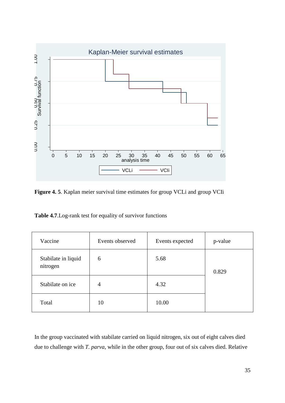

**Figure 4. 5**. Kaplan meier survival time estimates for group VCLi and group VCIi

**Table 4.7**.Log-rank test for equality of survivor functions

| Vaccine                         | Events observed | Events expected | p-value |
|---------------------------------|-----------------|-----------------|---------|
| Stabilate in liquid<br>nitrogen | 6               | 5.68            | 0.829   |
| Stabilate on ice                | $\overline{4}$  | 4.32            |         |
| Total                           | 10              | 10.00           |         |

In the group vaccinated with stabilate carried on liquid nitrogen, six out of eight calves died due to challenge with *T. parva*, while in the other group, four out of six calves died. Relative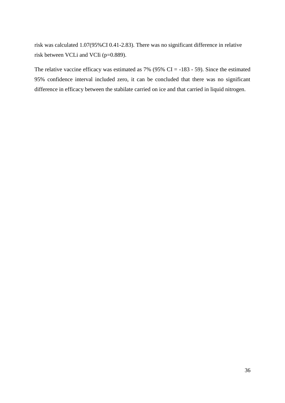risk was calculated 1.07(95%CI 0.41-2.83). There was no significant difference in relative risk between VCLi and VCIi (p=0.889).

The relative vaccine efficacy was estimated as  $7\%$  (95% CI = -183 - 59). Since the estimated 95% confidence interval included zero, it can be concluded that there was no significant difference in efficacy between the stabilate carried on ice and that carried in liquid nitrogen.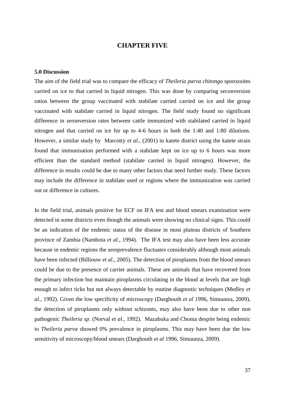# **CHAPTER FIVE**

#### <span id="page-47-1"></span><span id="page-47-0"></span>**5.0 Discussion**

The aim of the field trial was to compare the efficacy of *Theileria parva chitongo* sporozoites carried on ice to that carried in liquid nitrogen. This was done by comparing seconversion ratios between the group vaccinated with stabilate carried carried on ice and the group vaccinated with stabilate carried in liquid nitrogen. The field study found no significant difference in seronversion rates between cattle immunized with stabilated carried in liquid nitrogen and that carried on ice for up to 4-6 hours in both the 1:40 and 1:80 dilutions. However, a similar study by Marcotty *et al*., (2001) in katete district using the katete strain found that immunisation performed with a stabilate kept on ice up to 6 hours was more efficient than the standard method (stabilate carried in liquid nitrogen). However, the difference in results could be due to many other factors that need further study. These factors may include the difference in stabilate used or regions where the immunization was carried out or difference in cultures.

In the field trial, animals positive for ECF on IFA test and blood smears examination were detected in some districts even though the animals were showing no clinical signs. This could be an indication of the endemic status of the disease in most plateau districts of Southern province of Zambia (Nambota *et al*., 1994). The IFA test may also have been less accurate because in endemic regions the seroprevalence fluctuates considerably although most animals have been infected (Billiouw *et al*., 2005). The detection of piroplasms from the blood smears could be due to the presence of carrier animals. These are animals that have recovered from the primary infection but maintain piroplasms circulating in the blood at levels that are high enough to infect ticks but not always detectable by routine diagnostic techniques (Medley *et al*., 1992). Given the low specificity of microscopy (Darghouth *et al* 1996, Simuunza, 2009), the detection of piroplasms only without schizonts, may also have been due to other non pathogenic *Theileria sp*. (Norval *et al.,* 1992). Mazabuka and Choma despite being endemic to *Theileria parva* showed 0% prevalence in piroplasms. This may have been due the low sensitivity of microscopy/blood smears (Darghouth *et al* 1996, Simuunza, 2009).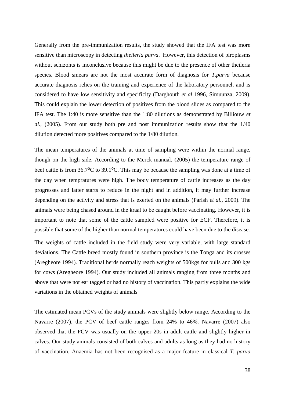Generally from the pre-immunization results, the study showed that the IFA test was more sensitive than microscopy in detecting *theileria parva*. However, this detection of piroplasms without schizonts is inconclusive because this might be due to the presence of other theileria species. Blood smears are not the most accurate form of diagnosis for *T.parva* because accurate diagnosis relies on the training and experience of the laboratory personnel, and is considered to have low sensitivity and specificity (Darghouth *et al* 1996, Simuunza, 2009). This could explain the lower detection of positives from the blood slides as compared to the IFA test. The 1:40 is more sensitive than the 1:80 dilutions as demonstrated by Billiouw *et al.,* (2005). From our study both pre and post immunization results show that the 1/40 dilution detected more positives compared to the 1/80 dilution.

The mean temperatures of the animals at time of sampling were within the normal range, though on the high side. According to the Merck manual, (2005) the temperature range of beef cattle is from 36.7<sup>o</sup>C to 39.1<sup>o</sup>C. This may be because the sampling was done at a time of the day when tempratures were high. The body temperature of cattle increases as the day progresses and latter starts to reduce in the night and in addition, it may further increase depending on the activity and stress that is exerted on the animals (Parish *et al.,* 2009). The animals were being chased around in the kraal to be caught before vaccinating. However, it is important to note that some of the cattle sampled were positive for ECF. Therefore, it is possible that some of the higher than normal temperatures could have been due to the disease.

The weights of cattle included in the field study were very variable, with large standard deviations. The Cattle breed mostly found in southern province is the Tonga and its crosses (Aregheore 1994). Traditional herds normally reach weights of 500kgs for bulls and 300 kgs for cows (Aregheore 1994). Our study included all animals ranging from three months and above that were not ear tagged or had no history of vaccination. This partly explains the wide variations in the obtained weights of animals

The estimated mean PCVs of the study animals were slightly below range. According to the Navarre (2007), the PCV of beef cattle ranges from 24% to 46%. Navarre (2007) also observed that the PCV was usually on the upper 20s in adult cattle and slightly higher in calves. Our study animals consisted of both calves and adults as long as they had no history of vaccination. Anaemia has not been recognised as a major feature in classical *T. parva*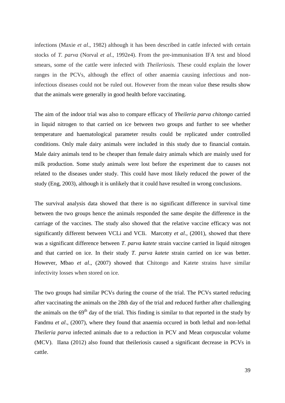infections (Maxie *et al*., 1982) although it has been described in cattle infected with certain stocks of *T. parva* (Norval *et al*., 1992e4). From the pre-immunisation IFA test and blood smears, some of the cattle were infected with *Theileriosis.* These could explain the lower ranges in the PCVs, although the effect of other anaemia causing infectious and noninfectious diseases could not be ruled out. However from the mean value these results show that the animals were generally in good health before vaccinating.

The aim of the indoor trial was also to compare efficacy of *Yheileria parva chitongo* carried in liquid nitrogen to that carried on ice between two groups and further to see whether temperature and haematological parameter results could be replicated under controlled conditions. Only male dairy animals were included in this study due to financial contain. Male dairy animals tend to be cheaper than female dairy animals which are mainly used for milk production. Some study animals were lost before the experiment due to causes not related to the diseases under study. This could have most likely reduced the power of the study (Eng, 2003), although it is unlikely that it could have resulted in wrong conclusions.

The survival analysis data showed that there is no significant difference in survival time between the two groups hence the animals responded the same despite the difference in the carriage of the vaccines. The study also showed that the relative vaccine efficacy was not significantly different between VCLi and VCIi. Marcotty *et al.,* (2001), showed that there was a significant difference between *T. parva katete* strain vaccine carried in liquid nitrogen and that carried on ice. In their study *T. parva katete* strain carried on ice was better. However, Mbao *et al*., (2007) showed that Chitongo and Katete strains have similar infectivity losses when stored on ice.

The two groups had similar PCVs during the course of the trial. The PCVs started reducing after vaccinating the animals on the 28th day of the trial and reduced further after challenging the animals on the  $69<sup>th</sup>$  day of the trial. This finding is similar to that reported in the study by Fandmu *et al*., (2007), where they found that anaemia occured in both lethal and non-lethal *Theileria parva* infected animals due to a reduction in PCV and Mean corpuscular volume (MCV). IIana (2012) also found that theileriosis caused a significant decrease in PCVs in cattle.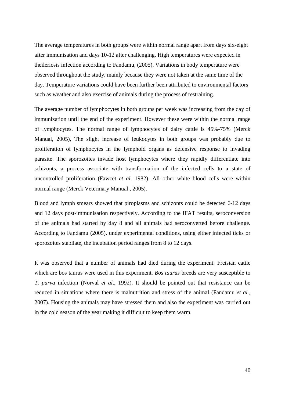The average temperatures in both groups were within normal range apart from days six-eight after immunisation and days 10-12 after challenging. High temperatures were expected in theileriosis infection according to Fandamu, (2005). Variations in body temperature were observed throughout the study, mainly because they were not taken at the same time of the day. Temperature variations could have been further been attributed to environmental factors such as weather and also exercise of animals during the process of restraining.

The average number of lymphocytes in both groups per week was increasing from the day of immunization until the end of the experiment. However these were within the normal range of lymphocytes. The normal range of lymphocytes of dairy cattle is 45%-75% (Merck Manual, 2005), The slight increase of leukocytes in both groups was probably due to proliferation of lymphocytes in the lymphoid organs as defensive response to invading parasite. The sporozoites invade host lymphocytes where they rapidly differentiate into schizonts, a process associate with transformation of the infected cells to a state of uncontrolled proliferation (Fawcet *et al*. 1982). All other white blood cells were within normal range (Merck Veterinary Manual , 2005).

Blood and lymph smears showed that piroplasms and schizonts could be detected 6-12 days and 12 days post-immunisation respectively. According to the IFAT results, seroconversion of the animals had started by day 8 and all animals had seroconverted before challenge. According to Fandamu (2005), under experimental conditions, using either infected ticks or sporozoites stabilate, the incubation period ranges from 8 to 12 days.

It was observed that a number of animals had died during the experiment. Freisian cattle which are bos taurus were used in this experiment. *Bos taurus* breeds are very susceptible to *T. parva* infection (Norval *et al*., 1992). It should be pointed out that resistance can be reduced in situations where there is malnutrition and stress of the animal (Fandamu *et al.,*  2007). Housing the animals may have stressed them and also the experiment was carried out in the cold season of the year making it difficult to keep them warm.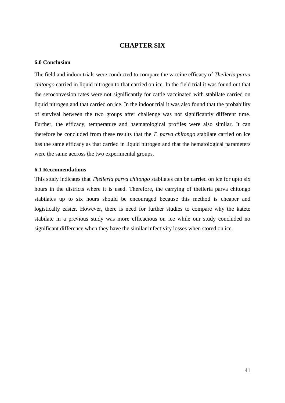# **CHAPTER SIX**

#### <span id="page-51-1"></span><span id="page-51-0"></span>**6.0 Conclusion**

The field and indoor trials were conducted to compare the vaccine efficacy of *Theileria parva chitongo* carried in liquid nitrogen to that carried on ice. In the field trial it was found out that the seroconvesion rates were not significantly for cattle vaccinated with stabilate carried on liquid nitrogen and that carried on ice. In the indoor trial it was also found that the probability of survival between the two groups after challenge was not significantly different time. Further, the efficacy, temperature and haematological profiles were also similar. It can therefore be concluded from these results that the *T. parva chitongo* stabilate carried on ice has the same efficacy as that carried in liquid nitrogen and that the hematological parameters were the same accross the two experimental groups.

#### <span id="page-51-2"></span>**6.1 Reccomendations**

This study indicates that *Theileria parva chitongo* stabilates can be carried on ice for upto six hours in the districts where it is used. Therefore, the carrying of theileria parva chitongo stabilates up to six hours should be encouraged because this method is cheaper and logistically easier. However, there is need for further studies to compare why the katete stabilate in a previous study was more efficacious on ice while our study concluded no significant difference when they have the similar infectivity losses when stored on ice.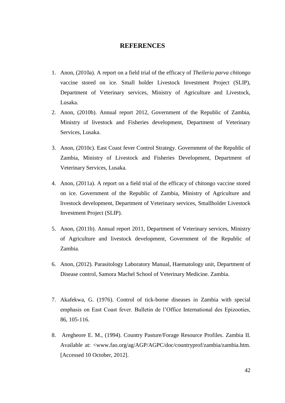# **REFERENCES**

- <span id="page-52-0"></span>1. Anon, (2010a). A report on a field trial of the efficacy of *Theileria parva chitongo* vaccine stored on ice. Small holder Livestock Investment Project (SLIP), Department of Veterinary services, Ministry of Agriculture and Livestock, Lusaka.
- 2. Anon, (2010b). Annual report 2012, Government of the Republic of Zambia, Ministry of livestock and Fisheries development, Department of Veterinary Services, Lusaka.
- 3. Anon, (2010c). East Coast fever Control Strategy. Government of the Republic of Zambia, Ministry of Livestock and Fisheries Development, Department of Veterinary Services, Lusaka.
- 4. Anon, (2011a). A report on a field trial of the efficacy of chitongo vaccine stored on ice. Government of the Republic of Zambia, Ministry of Agriculture and livestock development, Department of Veterinary services, Smallholder Livestock Investment Project (SLIP).
- 5. Anon, (2011b). Annual report 2011, Department of Veterinary services, Ministry of Agriculture and livestock development, Government of the Republic of Zambia.
- 6. Anon, (2012). Parasitology Laboratory Manual, Haematology unit, Department of Disease control, Samora Machel School of Veterinary Medicine. Zambia.
- 7. Akafekwa, G. (1976). Control of tick-borne diseases in Zambia with special emphasis on East Coast fever. Bulletin de l'Office International des Epizooties, 86, 105-116.
- 8. Aregheore E. M., (1994). [Country Pasture/Forage Resource Profiles.](http://www.fao.org/ag/AGP/AGPC/doc/pasture/forage.htm) Zambia II. Available at: <www.fao.org/ag/AGP/AGPC/doc/countryprof/zambia/zambia.htm. [Accessed 10 October, 2012].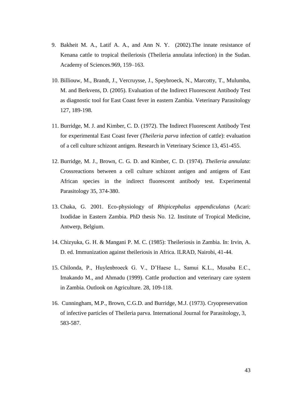- 9. Bakheit M. A., Latif A. A., and Ann N. Y. (2002).The innate resistance of Kenana cattle to tropical theileriosis (Theileria annulata infection) in the Sudan. Academy of Sciences.969, 159–163.
- 10. Billiouw, M., Brandt, J., Vercruysse, J., Speybroeck, N., Marcotty, T., Mulumba, M. and Berkvens, D. (2005). Evaluation of the Indirect Fluorescent Antibody Test as diagnostic tool for East Coast fever in eastern Zambia. Veterinary Parasitology 127, 189-198.
- 11. Burridge, M. J. and Kimber, C. D. (1972). The Indirect Fluorescent Antibody Test for experimental East Coast fever (*Theileria parva* infection of cattle): evaluation of a cell culture schizont antigen. Research in Veterinary Science 13, 451-455.
- 12. Burridge, M. J., Brown, C. G. D. and Kimber, C. D. (1974). *Theileria annulata*: Crossreactions between a cell culture schizont antigen and antigens of East African species in the indirect fluorescent antibody test. Experimental Parasitology 35, 374-380.
- 13. Chaka, G. 2001. Eco-physiology of *Rhipicephalus appendiculatus* (Acari: Ixodidae in Eastern Zambia. PhD thesis No. 12. Institute of Tropical Medicine, Antwerp, Belgium.
- 14. Chizyuka, G. H. & Mangani P. M. C. (1985): Theileriosis in Zambia. In: Irvin, A. D. ed. Immunization against theileriosis in Africa. ILRAD, Nairobi, 41-44.
- 15. Chilonda, P., Huylenbroeck G. V., D'Haese L., Samui K.L., Musaba E.C., Imakando M., and Ahmadu (1999). Cattle production and veterinary care system in Zambia. Outlook on Agriculture. 28, 109-118.
- 16. Cunningham, M.P., Brown, C.G.D. and Burridge, M.J. (1973). Cryopreservation of infective particles of Theileria parva. International Journal for Parasitology, 3, 583-587.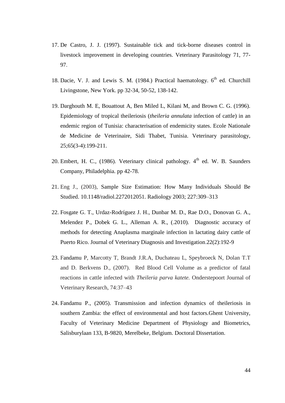- 17. De Castro, J. J. (1997). Sustainable tick and tick-borne diseases control in livestock improvement in developing countries. Veterinary Parasitology 71, 77- 97.
- 18. Dacie, V. J. and Lewis S. M. (1984.) Practical haematology.  $6<sup>th</sup>$  ed. Churchill Livingstone, New York. pp 32-34, 50-52, 138-142.
- 19. Darghouth M. E, Bouattout A, Ben Miled L, Kilani M, and Brown C. G. (1996). Epidemiology of tropical theileriosis (*theileria annulata* infection of cattle) in an endemic region of Tunisia: characterisation of endemicity states. Ecole Nationale de Medicine de Veterinaire, Sidi Thabet, Tunisia. Veterinary parasitology, 25;65(3-4):199-211.
- 20. Embert, H. C., (1986). Veterinary clinical pathology.  $4<sup>th</sup>$  ed. W. B. Saunders Company, Philadelphia. pp 42-78.
- 21. Eng J., (2003), Sample Size Estimation: How Many Individuals Should Be Studied. 10.1148/radiol.2272012051. Radiology 2003; 227:309–313
- 22. [Fosgate G. T.](http://www.ncbi.nlm.nih.gov/pubmed?term=Fosgate%20GT%5BAuthor%5D&cauthor=true&cauthor_uid=20224076), [Urdaz-Rodríguez J. H.](http://www.ncbi.nlm.nih.gov/pubmed?term=Urdaz-Rodr%C3%ADguez%20JH%5BAuthor%5D&cauthor=true&cauthor_uid=20224076), [Dunbar M. D.](http://www.ncbi.nlm.nih.gov/pubmed?term=Dunbar%20MD%5BAuthor%5D&cauthor=true&cauthor_uid=20224076), [Rae D.O.](http://www.ncbi.nlm.nih.gov/pubmed?term=Rae%20DO%5BAuthor%5D&cauthor=true&cauthor_uid=20224076), [Donovan G. A.](http://www.ncbi.nlm.nih.gov/pubmed?term=Donovan%20GA%5BAuthor%5D&cauthor=true&cauthor_uid=20224076), [Melendez P.](http://www.ncbi.nlm.nih.gov/pubmed?term=Melendez%20P%5BAuthor%5D&cauthor=true&cauthor_uid=20224076), [Dobek G. L.](http://www.ncbi.nlm.nih.gov/pubmed?term=Dobek%20GL%5BAuthor%5D&cauthor=true&cauthor_uid=20224076), [Alleman A.](http://www.ncbi.nlm.nih.gov/pubmed?term=Alleman%20AR%5BAuthor%5D&cauthor=true&cauthor_uid=20224076) R., (.2010). Diagnostic accuracy of methods for detecting Anaplasma marginale infection in lactating dairy cattle of Puerto Rico. Journal of Veterinary [Diagnosis and](http://www.ncbi.nlm.nih.gov/pubmed/20224076) Investigation.22(2):192-9
- 23. Fandamu P, Marcotty T, Brandt J.R.A, Duchateau L, Speybroeck N, Dolan T.T and D. Berkvens D., (2007). Red Blood Cell Volume as a predictor of fatal reactions in cattle infected with *Theileria parva katete.* Onderstepoort Journal of Veterinary Research, 74:37–43
- 24. Fandamu P., (2005). Transmission and infection dynamics of theileriosis in southern Zambia: the effect of environmental and host factors.Ghent University, Faculty of Veterinary Medicine Department of Physiology and Biometrics, Salisburylaan 133, B-9820, Merelbeke, Belgium. Doctoral Dissertation.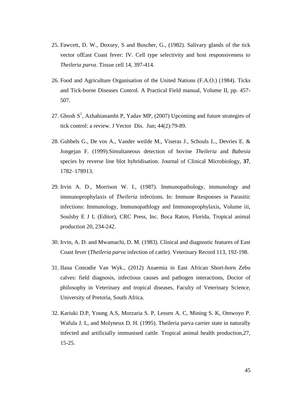- 25. Fawcett, D. W., Doxsey, S and Buscher, G., (1982). Salivary glands of the tick vector ofEast Coast fever: IV. Cell type selectivity and host responsiveness to *Theileria parva*. Tissue cell 14, 397-414.
- 26. Food and Agriculture Organisation of the United Nations (F.A.O.) (1984). Ticks and Tick-borne Diseases Control. A Practical Field manual, Volume II, pp. 457- 507.
- 27. Ghosh  $S^1$ , [Azhahianambi P,](http://www.ncbi.nlm.nih.gov/pubmed/?term=Azhahianambi%20P%5BAuthor%5D&cauthor=true&cauthor_uid=17722860) [Yadav MP,](http://www.ncbi.nlm.nih.gov/pubmed/?term=Yadav%20MP%5BAuthor%5D&cauthor=true&cauthor_uid=17722860) (2007) Upcoming and future strategies of tick control: a review. [J Vector Dis.](http://www.ncbi.nlm.nih.gov/pubmed/17722860) Jun; 44(2):79-89.
- 28. Gubbels G., De vos A., Vander weilde M., Viseras J., Schouls L., Devries E. & Jongejan F. (1999).Simultaneous detection of bovine *Theileria* and *Babesia*  species by reverse line blot hybridisation. Journal of Clinical Microbiology, **37**, 1782–178913.
- 29. Irvin A. D., Morrison W. I., (1987). Immunopathology, immunology and immunoprophylaxis of *Theileria* infections. In: Immune Responses in Parasitic infections: Immunology, Immunopathlogy and Immunoprophylaxis, Volume iii, Soulsby E J L (Editor), CRC Press, Inc. Boca Raton, Florida, Tropical animal production 20, 234-242.
- 30. Irvin, A. D. and Mwamachi, D. M. (1983). Clinical and diagnostic features of East Coast fever (*Theileria parva* infection of cattle). Veterinary Record 113, 192-198.
- 31. IIana Conradie Van Wyk., (2012) Anaemia in East African Short-horn Zebu calves: field diagnosis, infectious causes and pathogen interactions, Doctor of philosophy in Veterinary and tropical diseases, Faculty of Veterinary Science, University of Pretoria, South Africa.
- 32. Kariuki D.P, Young A.S, Morzaria S. P, Lessen A. C, Mining S. K, Omwoyo P. Wafula J. L, and Molyneux D. H. (1995). Theileria parva carrier state in naturally infected and artificially immunised cattle. Tropical animal health production,27, 15-25.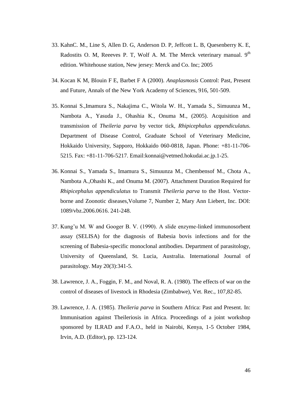- 33. KahnC. M., Line S, Allen D. G, Anderson D. P, Jeffcott L. B, Quesenberry K. E, Radostits O. M, Reeeves P. T, Wolf A. M. The Merck veterinary manual.  $9<sup>th</sup>$ edition. Whitehouse station, New jersey: Merck and Co. Inc; 2005
- 34. Kocan K M, Blouin F E, Barbet F A (2000). *Anaplasmosis* Control: Past, Present and Future, Annals of the New York Academy of Sciences, 916, 501-509.
- 35. Konnai S.,Imamura S., Nakajima C., Witola W. H., Yamada S., Simuunza M., Nambota A., Yasuda J., Ohashia K., Onuma M., (2005). Acquisition and transmission of *Theileria parva* by vector tick, *Rhipicephalus appendiculatus.*  Department of Disease Control, Graduate School of Veterinary Medicine, Hokkaido University, Sapporo, Hokkaido 060-0818, Japan. Phone: +81-11-706- 5215. Fax: +81-11-706-5217. Email:konnai@vetmed.hokudai.ac.jp.1-25.
- 36. Konnai S., Yamada S., Imamura S., Simuunza M., Chembensof M., Chota A., Nambota A.,Ohashi K., and Onuma M. (2007). Attachment Duration Required for *Rhipicephalus appendiculatus* to Transmit *Theileria parva* to the Host. Vectorborne and Zoonotic diseases,Volume 7, Number 2, Mary Ann Liebert, Inc. DOI: 1089/vbz.2006.0616. 241-248.
- 37. Kung'u M. W and Googer B. V. (1990). A slide enzyme-linked immunosorbent assay (SELISA) for the diagnosis of Babesia bovis infections and for the screening of Babesia-specific monoclonal antibodies. Department of parasitology, University of Queensland, St. Lucia, Australia. International Journal of parasitology. May 20(3):341-5.
- 38. Lawrence, J. A., Foggin, F. M., and Noval, R. A. (1980). The effects of war on the control of diseases of livestock in Rhodesia (Zimbabwe), Vet. Rec., 107,82-85.
- 39. Lawrence, J. A. (1985). *Theileria parva* in Southern Africa: Past and Present. In: Immunisation against Theileriosis in Africa. Proceedings of a joint workshop sponsored by ILRAD and F.A.O., held in Nairobi, Kenya, 1-5 October 1984, Irvin, A.D. (Editor), pp. 123-124.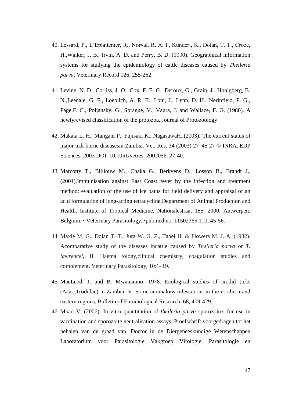- 40. Lessard, P., L'Eplattenier, R., Norval, R. A. I., Kundert, K., Dolan, T. T., Croze, H.,Walker, J. B., Irvin, A. D. and Perry, B. D. (1990). Geographical information systems for studying the epidemiology of cattle diseases caused by *Theileria parva*. Veterinary Record 126, 255-262.
- 41. Levine, N. D., Corliss, J. O., Cox, F. E. G., Deroux, G., Grain, J., Honigberg, B. N.,Leedale, G. F., Loeblich, A. R. II., Lom, J., Lynn, D. H., Nerinfield, F. G., Page,F. C., Poljansky, G., Sprague, V., Vaura, J. and Wallace, F. G. (1980). A newlyrevised classification of the protozoa. Journal of Protozoology
- 42. Makala L. H., Mangani P., Fujisaki K., NagasawaH.,(2003). The current status of major tick borne diseasesin Zambia. Vet. Res. 34 (2003) 27–45 27 © INRA, EDP Sciences, 2003 DOI: 10.1051/vetres: 2002056. 27-40.
- 43. [Marcotty T](http://www.expertmapper.com/go/theileriasis/-aMarcotty+T/-vEmArt)., [Billiouw](http://www.expertmapper.com/go/theileriasis/-aBilliouw+M/-vEmArt) M., [Chaka](http://www.expertmapper.com/go/theileriasis/-aChaka+G/-vEmArt) G., [Berkvens D](http://www.expertmapper.com/go/theileriasis/-aBerkvens+D/-vEmArt)., [Losson B](http://www.expertmapper.com/go/theileriasis/-aLosson+B/-vEmArt)., [Brandt](http://www.expertmapper.com/go/theileriasis/-aBrandt+J/-vEmArt) J., (2001)[.Immunisation against East Coast fever by the infection and treatment](javascript:toggle2()  [method: evaluation of the use of ice baths for field delivery and appraisal of an](javascript:toggle2()  [acid formulation of long-acting tetracycline.D](javascript:toggle2()epartment of Animal Production and Health, Institute of Tropical Medicine, Nationalestraat 155, 2000, Antwerpen, Belgium. · Veterinary Parasitology. ·pubmed no. 11502365.110, 45-56.
- 44. Maxie M. G., Dolan T. T., Jura W. G. Z., Tabel H. & Flowers M. J. A. (1982). Acomparative study of the diseases incattle caused by *Theileria parva* or *T. lawrencei,* II. Haema tology,clinical chemistry, coagulation studies and complement. Veterinary Parasitology, 10:1–19.
- 45. MacLeod, J. and B. Mwanaumo. 1978. Ecological studies of ixodid ticks (Acari,Ixodidae) in Zambia IV. Some anomalous infestations in the northern and eastern regions. Bulletin of Entomological Research, 68, 409-429.
- 46. Mbao V. (2006). In vitro quantitation of *theileria parva* sporozoites for use in vaccination and sporozoite neutralisation assays. Proefschrift voorgedragen tot het behalen van de graad van. Doctor in de Diergeneeskundige Wetenschappen Laboratorium voor Parasitologie Vakgroep Virologie, Parasitologie en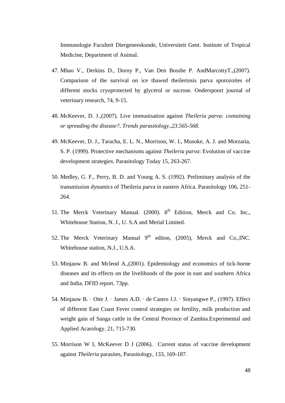Immunologie Faculteit Diergeneeskunde, Universiteit Gent. Institute of Tropical Medicine, Department of Animal.

- 47. Mbao V., Derkins D., Dorny P., Van Den Bosshe P. AndMarcottyT.,(2007). Comparison of the survival on ice thawed theileriosis parva sporozoites of different stocks cryoprotected by glycerol or sucrose. Onderspoort journal of veterinary research, 74, 9-15.
- 48. McKeever, D. J.,(2007). Live immunisation against *Theileria parva: containing or spreading the disease?, Trends parasitology.,23.565-568.*
- 49. McKeever, D. J., Taracha, E. L. N., Morrison, W. I., Musoke, A. J. and Morzaria, S. P. (1999). Protective mechanisms against *Theileria parva*: Evolution of vaccine development strategies. Parasitology Today 15, 263-267.
- 50. Medley, G. F., Perry, B. D. and Young A. S. (1992). Preliminary analysis of the transmission dynamics of Theileria parva in eastern Africa. Parasitology 106, 251- 264.
- 51. The Merck Veterinary Manual. (2000).  $8<sup>th</sup>$  Edition, Merck and Co. Inc., Whitehouse Station, N. J., U. S.A and Merial Limited.
- 52. The Merck Veterinary Manual  $9<sup>th</sup>$  editon, (2005), Merck and Co., INC. Whitehouse station, N.J., U.S.A.
- 53. Minjauw B. and Mcleod A.,(2001). Epidemiology and economics of tick-borne diseases and its effects on the livelihoods of the poor in east and southern Africa and India. DFID report. 73pp.
- 54. Minjauw B. · Otte J. · James A.D. · de Castro J.J. · Sinyangwe P., (1997). Effect of different East Coast Fever control strategies on fertility, milk production and weight gain of Sanga cattle in the Central Province of Zambia.Experimental and Applied Acarology. 21, 715-730.
- 55. Morrison W I, McKeever D J (2006). Current status of vaccine development against *Theileria* parasites, Parasitology, 133, 169-187.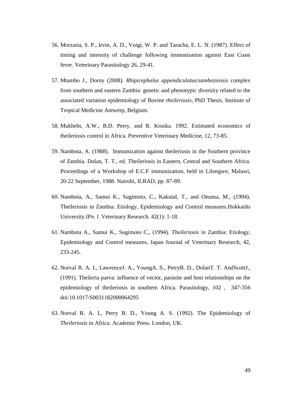- 56. Morzaria, S. P., Irvin, A. D., Voigt, W. P. and Taracha, E. L. N. (1987). Effect of timing and intensity of challenge following immunisation against East Coast fever. Veterinary Parasitology 26, 29-41.
- 57. Mtambo J., Dorny (2008). *Rhipicephalus appendiculatus*/*zambeziensis* complex from southern and eastern Zambia: genetic and phenotypic diversity related to the associated variation epidemiology of Bovine *theileriosis,* PhD Thesis, Institute of Tropical Medicine Antwerp, Belgium.
- 58. Mukhebi, A.W., B.D. Perry, and R. Kruska. 1992. Estimated economics of theileriosis control in Africa. Preventive Veterinary Medicine, 12, 73-85.
- 59. Nambota, A. (1988). Immunization against theileriosis in the Southern province of Zambia. Dolan, T. T., ed. Theileriosis in Eastern, Central and Southern Africa. Proceedings of a Workshop of E.C.F immunization, held in Lilongwe, Malawi, 20-22 September, 1988. Nairobi, ILRAD, pp. 87-89.
- 60. Nambota, A., Samui K., Sugimoto, C., Kakutal, T., and Onuma, M., (1994). Theileriosis in Zambia: Etiology, Epidemiology and Control measures.Hokkaido University.*lPn. l.* Veterinary Research*.* 42(1): 1-18.
- 61. Nambota A., Samui K., Sugimoto C., (1994). *Theileriosis* in Zambia: Etiology, Epidemiology and Control measures, Japan Journal of Veterinary Research, 42, 233-245.
- 62. Norval R. A. I., LawrenceJ. A., YoungA. S., PerryB. D., DolanT. T. AndScottJ., (1991). Theileria parva: influence of vector, parasite and host relationships on the epidemiology of theileriosis in southern Africa. Parasitology, 102 , 347-356 doi:10.1017/S0031182000064295
- 63. Norval R. A. I., Perry B. D., Young A. S. (1992). The Epidemiology of *Theileriosis* in Africa. Academic Press. London, UK.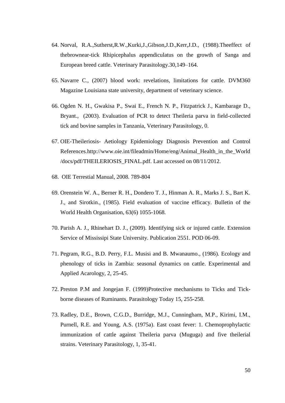- 64. Norval, R.A.,Sutherst,R.W.,Kurki,J.,Gibson,J.D.,Kerr,J.D., (1988).Theeffect of thebrownear-tick Rhipicephalus appendiculatus on the growth of Sanga and European breed cattle. Veterinary Parasitology.30,149–164.
- 65. Navarre C., (2007) blood work: revelations, limitations for cattle. DVM360 Magazine Louisiana state university, department of veterinary science.
- 66. Ogden N. H., Gwakisa P., Swai E., French N. P., Fitzpatrick J., Kambarage D., Bryant., (2003). Evaluation of PCR to detect Theileria parva in field-collected tick and bovine samples in Tanzania, Veterinary Parasitology, 0.
- 67. OIE-Theileriosis- Aetiology Epidemiology Diagnosis Prevention and Control References.http://www.oie.int/fileadmin/Home/eng/Animal\_Health\_in\_the\_World /docs/pdf/THEILERIOSIS\_FINAL.pdf. Last accessed on 08/11/2012.
- 68. OIE Terrestial Manual, 2008. 789-804
- 69. Orenstein W. A., Berner R. H., Dondero T. J., Hinman A. R., Marks J. S., Bart K. J., and Sirotkin., (1985). Field evaluation of vaccine efficacy. Bulletin of the World Health Organisation, 63(6) 1055-1068.
- 70. Parish A. J., Rhinehart D. J., (2009). Identifying sick or injured cattle. Extension Service of Mississipi State University. Publication 2551. POD 06-09.
- 71. Pegram, R.G., B.D. Perry, F.L. Musisi and B. Mwanaumo., (1986). Ecology and phenology of ticks in Zambia: seasonal dynamics on cattle. Experimental and Applied Acarology, 2, 25-45.
- 72. Preston P.M and Jongejan F. (1999)Protective mechanisms to Ticks and Tickborne diseases of Ruminants. Parasitology Today 15, 255-258.
- 73. Radley, D.E., Brown, C.G.D., Burridge, M.J., Cunningham, M.P., Kirimi, I.M., Purnell, R.E. and Young, A.S. (1975a). East coast fever: 1. Chemoprophylactic immunization of cattle against Theileria parva (Muguga) and five theilerial strains. Veterinary Parasitology, 1, 35-41.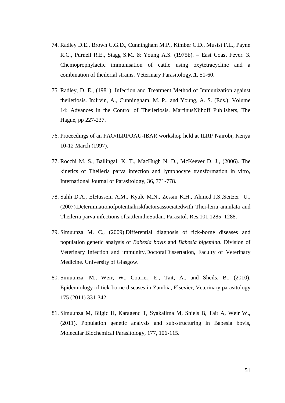- 74. Radley D.E., Brown C.G.D., Cunningham M.P., Kimber C.D., Musisi F.L., Payne R.C., Purnell R.E., Stagg S.M. & Young A.S. (1975b). – East Coast Fever. 3. Chemoprophylactic immunisation of cattle using oxytetracycline and a combination of theilerial strains. Veterinary Parasitology*.*,**1**, 51-60.
- 75. Radley, D. E., (1981). Infection and Treatment Method of Immunization against theileriosis. In:Irvin, A., Cunningham, M. P., and Young, A. S. (Eds.). Volume 14: Advances in the Control of Theileriosis. MartinusNijhoff Publishers, The Hague, pp 227-237.
- 76. Proceedings of an FAO/ILRI/OAU-IBAR workshop held at ILRI/ Nairobi, Kenya 10-12 March (1997).
- 77. Rocchi M. S., Ballingall K. T., MacHugh N. D., McKeever D. J., (2006). The kinetics of Theileria parva infection and lymphocyte transformation in vitro, International Journal of Parasitology, 36, 771-778.
- 78. Salih D.A., ElHussein A.M., Kyule M.N., Zessin K.H., Ahmed J.S.,Seitzer U., (2007).Determinationofpotentialriskfactorsassociatedwith Thei-leria annulata and Theileria parva infections ofcattleintheSudan. Parasitol. Res.101,1285–1288.
- 79. Simuunza M. C., (2009).Differential diagnosis of tick-borne diseases and population genetic analysis of *Babesia bovis* and *Babesia bigemina.* Division of Veterinary Infection and immunity,DoctoralDissertation, Faculty of Veterinary Medicine. University of Glasgow.
- 80. Simuunza, M., Weir, W., Courier, E., Tait, A., and Sheils, B., (2010). Epidemiology of tick-borne diseases in Zambia, Elsevier, Veterinary parasitology 175 (2011) 331-342.
- 81. Simuunza M, Bilgic H, Karagenc T, Syakalima M, Shiels B, Tait A, Weir W., (2011). Population genetic analysis and sub-structuring in Babesia bovis, Molecular Biochemical Parasitology, 177, 106-115.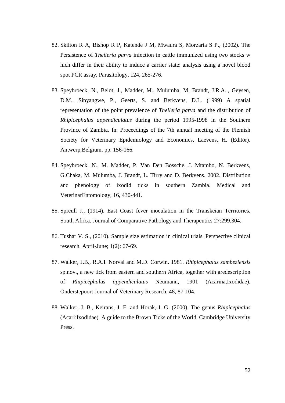- 82. Skilton R A, Bishop R P, Katende J M, Mwaura S, Morzaria S P., (2002). The Persistence of *Theileria parva* infection in cattle immunized using two stocks w hich differ in their ability to induce a carrier state: analysis using a novel blood spot PCR assay, Parasitology, 124, 265-276.
- 83. Speybroeck, N., Belot, J., Madder, M., Mulumba, M, Brandt, J.R.A.., Geysen, D.M., Sinyangwe, P., Geerts, S. and Berkvens, D.L. (1999) A spatial representation of the point prevalence of *Theileria parva* and the distribution of *Rhipicephalus appendiculatus* during the period 1995-1998 in the Southern Province of Zambia. In: Proceedings of the 7th annual meeting of the Flemish Society for Veterinary Epidemiology and Economics, Laevens, H. (Editor). Antwerp,Belgium. pp. 156-166.
- 84. Speybroeck, N., M. Madder, P. Van Den Bossche, J. Mtambo, N. Berkvens, G.Chaka, M. Mulumba, J. Brandt, L. Tirry and D. Berkvens. 2002. Distribution and phenology of ixodid ticks in southern Zambia. Medical and VeterinarEntomology, 16, 430-441.
- 85. Spreull J., (1914). East Coast fever inoculation in the Transkeian Territories, South Africa. Journal of Comparative Pathology and Therapeutics 27:299.304.
- 86. Tushar V. S., (2010). Sample size estimation in clinical trials. Perspective clinical research. April-June; 1(2): 67-69.
- 87. Walker, J.B., R.A.I. Norval and M.D. Corwin. 1981. *Rhipicephalus zambeziensis*  sp.nov., a new tick from eastern and southern Africa, together with aredescription of *Rhipicephalus appendiculatus* Neumann, 1901 (Acarina,Ixodidae). Onderstepoort Journal of Veterinary Research, 48, 87-104.
- 88. Walker, J. B., Keirans, J. E. and Horak, I. G. (2000). The genus *Rhipicephalus*  (Acari:Ixodidae). A guide to the Brown Ticks of the World. Cambridge University Press.